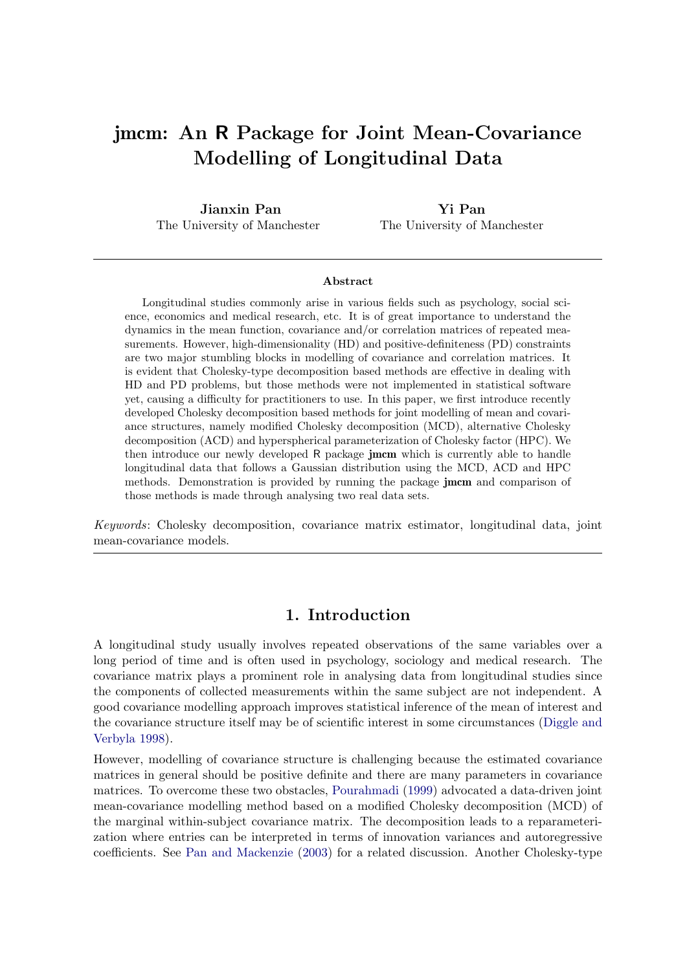# jmcm: An R Package for Joint Mean-Covariance Modelling of Longitudinal Data

Jianxin Pan The University of Manchester

Yi Pan The University of Manchester

#### Abstract

Longitudinal studies commonly arise in various fields such as psychology, social science, economics and medical research, etc. It is of great importance to understand the dynamics in the mean function, covariance and/or correlation matrices of repeated measurements. However, high-dimensionality (HD) and positive-definiteness (PD) constraints are two major stumbling blocks in modelling of covariance and correlation matrices. It is evident that Cholesky-type decomposition based methods are effective in dealing with HD and PD problems, but those methods were not implemented in statistical software yet, causing a difficulty for practitioners to use. In this paper, we first introduce recently developed Cholesky decomposition based methods for joint modelling of mean and covariance structures, namely modified Cholesky decomposition (MCD), alternative Cholesky decomposition (ACD) and hyperspherical parameterization of Cholesky factor (HPC). We then introduce our newly developed R package **jmcm** which is currently able to handle longitudinal data that follows a Gaussian distribution using the MCD, ACD and HPC methods. Demonstration is provided by running the package jmcm and comparison of those methods is made through analysing two real data sets.

Keywords: Cholesky decomposition, covariance matrix estimator, longitudinal data, joint mean-covariance models.

# 1. Introduction

A longitudinal study usually involves repeated observations of the same variables over a long period of time and is often used in psychology, sociology and medical research. The covariance matrix plays a prominent role in analysing data from longitudinal studies since the components of collected measurements within the same subject are not independent. A good covariance modelling approach improves statistical inference of the mean of interest and the covariance structure itself may be of scientific interest in some circumstances [\(Diggle and](#page-24-0) [Verbyla](#page-24-0) [1998\)](#page-24-0).

However, modelling of covariance structure is challenging because the estimated covariance matrices in general should be positive definite and there are many parameters in covariance matrices. To overcome these two obstacles, [Pourahmadi](#page-25-0) [\(1999\)](#page-25-0) advocated a data-driven joint mean-covariance modelling method based on a modified Cholesky decomposition (MCD) of the marginal within-subject covariance matrix. The decomposition leads to a reparameterization where entries can be interpreted in terms of innovation variances and autoregressive coefficients. See [Pan and Mackenzie](#page-25-1) [\(2003\)](#page-25-1) for a related discussion. Another Cholesky-type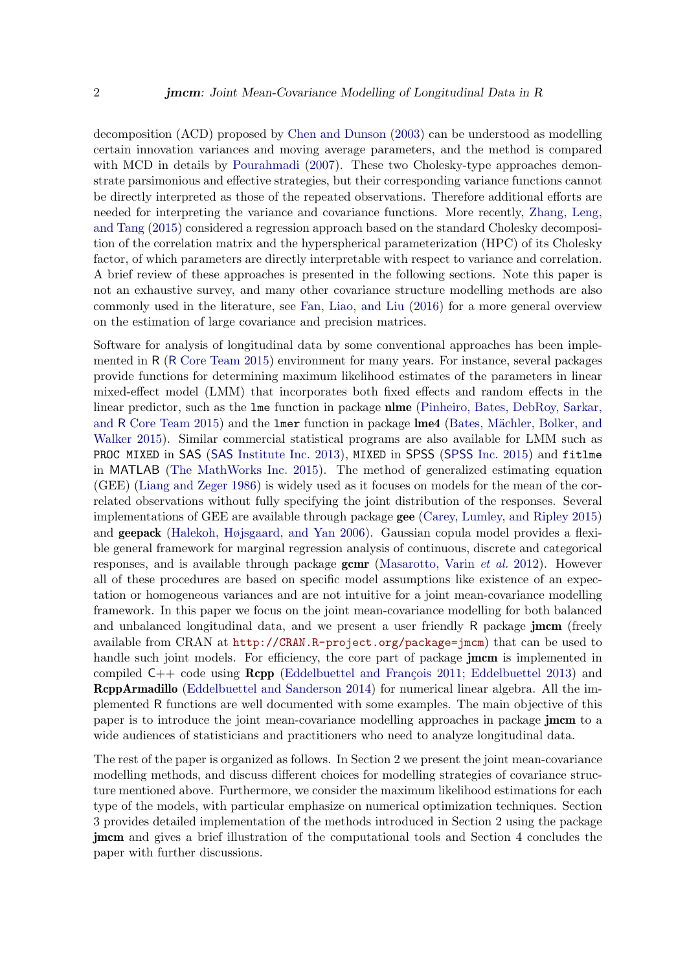decomposition (ACD) proposed by [Chen and Dunson](#page-24-1) [\(2003\)](#page-24-1) can be understood as modelling certain innovation variances and moving average parameters, and the method is compared with MCD in details by [Pourahmadi](#page-25-2) [\(2007\)](#page-25-2). These two Cholesky-type approaches demonstrate parsimonious and effective strategies, but their corresponding variance functions cannot be directly interpreted as those of the repeated observations. Therefore additional efforts are needed for interpreting the variance and covariance functions. More recently, [Zhang, Leng,](#page-26-0) [and Tang](#page-26-0) [\(2015\)](#page-26-0) considered a regression approach based on the standard Cholesky decomposition of the correlation matrix and the hyperspherical parameterization (HPC) of its Cholesky factor, of which parameters are directly interpretable with respect to variance and correlation. A brief review of these approaches is presented in the following sections. Note this paper is not an exhaustive survey, and many other covariance structure modelling methods are also commonly used in the literature, see [Fan, Liao, and Liu](#page-24-2) [\(2016\)](#page-24-2) for a more general overview on the estimation of large covariance and precision matrices.

Software for analysis of longitudinal data by some conventional approaches has been implemented in R (R [Core Team](#page-25-3) [2015\)](#page-25-3) environment for many years. For instance, several packages provide functions for determining maximum likelihood estimates of the parameters in linear mixed-effect model (LMM) that incorporates both fixed effects and random effects in the linear predictor, such as the lme function in package nlme [\(Pinheiro, Bates, DebRoy, Sarkar,](#page-25-4) and R [Core Team](#page-25-4) [2015\)](#page-25-4) and the lmer function in package lme4 (Bates, Mächler, Bolker, and [Walker](#page-24-3) [2015\)](#page-24-3). Similar commercial statistical programs are also available for LMM such as PROC MIXED in SAS (SAS [Institute Inc.](#page-26-1) [2013\)](#page-26-1), MIXED in SPSS ([SPSS](#page-26-2) Inc. [2015\)](#page-26-2) and fitlme in MATLAB [\(The MathWorks Inc.](#page-26-3) [2015\)](#page-26-3). The method of generalized estimating equation (GEE) [\(Liang and Zeger](#page-25-5) [1986\)](#page-25-5) is widely used as it focuses on models for the mean of the correlated observations without fully specifying the joint distribution of the responses. Several implementations of GEE are available through package gee [\(Carey, Lumley, and Ripley](#page-24-4) [2015\)](#page-24-4) and geepack [\(Halekoh, Højsgaard, and Yan](#page-24-5) [2006\)](#page-24-5). Gaussian copula model provides a flexible general framework for marginal regression analysis of continuous, discrete and categorical responses, and is available through package  $gcmr$  [\(Masarotto, Varin](#page-25-6) *et al.* [2012\)](#page-25-6). However all of these procedures are based on specific model assumptions like existence of an expectation or homogeneous variances and are not intuitive for a joint mean-covariance modelling framework. In this paper we focus on the joint mean-covariance modelling for both balanced and unbalanced longitudinal data, and we present a user friendly R package **jmcm** (freely available from CRAN at <http://CRAN.R-project.org/package=jmcm>) that can be used to handle such joint models. For efficiency, the core part of package **jmcm** is implemented in compiled  $C_{++}$  code using  $\mathbb{R}$ cpp (Eddelbuettel and François [2011;](#page-24-6) [Eddelbuettel](#page-24-7) [2013\)](#page-24-7) and RcppArmadillo [\(Eddelbuettel and Sanderson](#page-24-8) [2014\)](#page-24-8) for numerical linear algebra. All the implemented R functions are well documented with some examples. The main objective of this paper is to introduce the joint mean-covariance modelling approaches in package **jmcm** to a wide audiences of statisticians and practitioners who need to analyze longitudinal data.

The rest of the paper is organized as follows. In Section 2 we present the joint mean-covariance modelling methods, and discuss different choices for modelling strategies of covariance structure mentioned above. Furthermore, we consider the maximum likelihood estimations for each type of the models, with particular emphasize on numerical optimization techniques. Section 3 provides detailed implementation of the methods introduced in Section 2 using the package jmcm and gives a brief illustration of the computational tools and Section 4 concludes the paper with further discussions.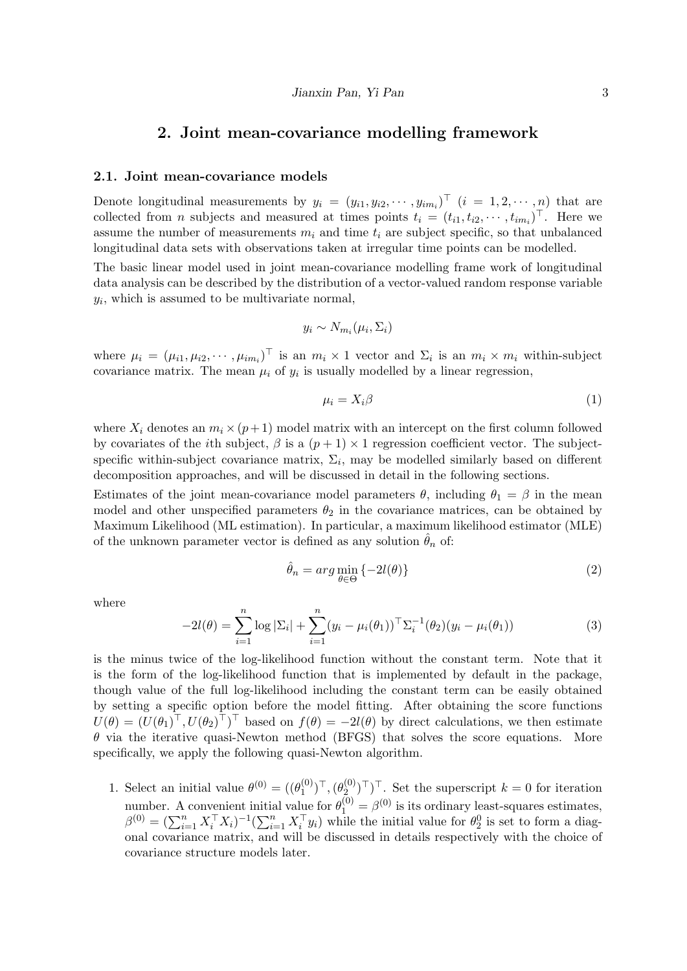# 2. Joint mean-covariance modelling framework

#### <span id="page-2-0"></span>2.1. Joint mean-covariance models

Denote longitudinal measurements by  $y_i = (y_{i1}, y_{i2}, \dots, y_{im_i})^\top$   $(i = 1, 2, \dots, n)$  that are collected from *n* subjects and measured at times points  $t_i = (t_{i1}, t_{i2}, \cdots, t_{im_i})^\top$ . Here we assume the number of measurements  $m_i$  and time  $t_i$  are subject specific, so that unbalanced longitudinal data sets with observations taken at irregular time points can be modelled.

The basic linear model used in joint mean-covariance modelling frame work of longitudinal data analysis can be described by the distribution of a vector-valued random response variable  $y_i$ , which is assumed to be multivariate normal,

$$
y_i \sim N_{m_i}(\mu_i, \Sigma_i)
$$

where  $\mu_i = (\mu_{i1}, \mu_{i2}, \cdots, \mu_{im_i})^\top$  is an  $m_i \times 1$  vector and  $\Sigma_i$  is an  $m_i \times m_i$  within-subject covariance matrix. The mean  $\mu_i$  of  $y_i$  is usually modelled by a linear regression,

$$
\mu_i = X_i \beta \tag{1}
$$

where  $X_i$  denotes an  $m_i \times (p+1)$  model matrix with an intercept on the first column followed by covariates of the *i*th subject,  $\beta$  is a  $(p+1) \times 1$  regression coefficient vector. The subjectspecific within-subject covariance matrix,  $\Sigma_i$ , may be modelled similarly based on different decomposition approaches, and will be discussed in detail in the following sections.

Estimates of the joint mean-covariance model parameters  $\theta$ , including  $\theta_1 = \beta$  in the mean model and other unspecified parameters  $\theta_2$  in the covariance matrices, can be obtained by Maximum Likelihood (ML estimation). In particular, a maximum likelihood estimator (MLE) of the unknown parameter vector is defined as any solution  $\hat{\theta}_n$  of:

$$
\hat{\theta}_n = \arg\min_{\theta \in \Theta} \{-2l(\theta)\}\tag{2}
$$

<span id="page-2-1"></span>where

$$
-2l(\theta) = \sum_{i=1}^{n} \log |\Sigma_i| + \sum_{i=1}^{n} (y_i - \mu_i(\theta_1))^{\top} \Sigma_i^{-1}(\theta_2) (y_i - \mu_i(\theta_1))
$$
(3)

is the minus twice of the log-likelihood function without the constant term. Note that it is the form of the log-likelihood function that is implemented by default in the package, though value of the full log-likelihood including the constant term can be easily obtained by setting a specific option before the model fitting. After obtaining the score functions  $U(\theta) = (U(\theta_1)^{\top}, U(\theta_2)^{\top})^{\top}$  based on  $f(\theta) = -2l(\theta)$  by direct calculations, we then estimate  $\theta$  via the iterative quasi-Newton method (BFGS) that solves the score equations. More specifically, we apply the following quasi-Newton algorithm.

1. Select an initial value  $\theta^{(0)} = ((\theta_1^{(0)})$  $(\begin{smallmatrix} 0 \ 1 \end{smallmatrix})^\top, (\theta_2^{(0)})$  $\sum_{i=1}^{(0)}$ <sup> $\top$ </sup>)<sup> $\top$ </sup>. Set the superscript  $k = 0$  for iteration number. A convenient initial value for  $\theta_1^{(0)} = \beta^{(0)}$  is its ordinary least-squares estimates,  $\beta^{(0)} = (\sum_{i=1}^n X_i^{\top} X_i)^{-1} (\sum_{i=1}^n X_i^{\top} y_i)$  while the initial value for  $\theta_2^0$  is set to form a diagonal covariance matrix, and will be discussed in details respectively with the choice of covariance structure models later.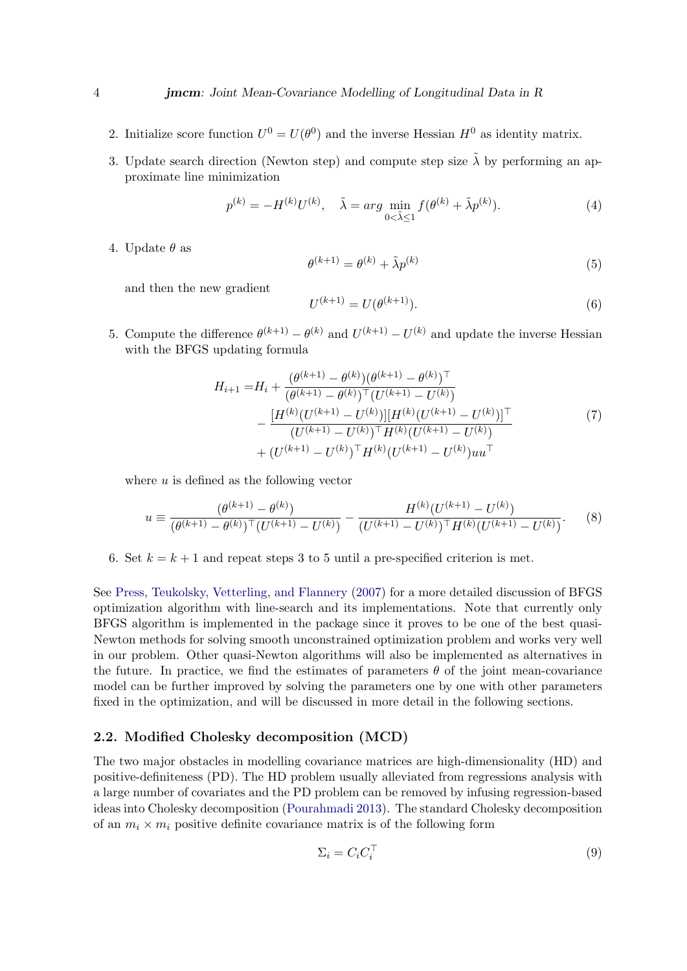- 2. Initialize score function  $U^0 = U(\theta^0)$  and the inverse Hessian  $H^0$  as identity matrix.
- 3. Update search direction (Newton step) and compute step size  $\tilde{\lambda}$  by performing an approximate line minimization

$$
p^{(k)} = -H^{(k)}U^{(k)}, \quad \tilde{\lambda} = \arg\min_{0 < \tilde{\lambda} \le 1} f(\theta^{(k)} + \tilde{\lambda}p^{(k)}). \tag{4}
$$

4. Update  $\theta$  as

$$
\theta^{(k+1)} = \theta^{(k)} + \tilde{\lambda}p^{(k)}\tag{5}
$$

and then the new gradient

$$
U^{(k+1)} = U(\theta^{(k+1)}).
$$
\n(6)

5. Compute the difference  $\theta^{(k+1)} - \theta^{(k)}$  and  $U^{(k+1)} - U^{(k)}$  and update the inverse Hessian with the BFGS updating formula

$$
H_{i+1} = H_i + \frac{(\theta^{(k+1)} - \theta^{(k)})(\theta^{(k+1)} - \theta^{(k)})^\top}{(\theta^{(k+1)} - \theta^{(k)})^\top (U^{(k+1)} - U^{(k)})} - \frac{[H^{(k)}(U^{(k+1)} - U^{(k)})][H^{(k)}(U^{(k+1)} - U^{(k)})]^\top}{(U^{(k+1)} - U^{(k)})^\top H^{(k)}(U^{(k+1)} - U^{(k)})} + (U^{(k+1)} - U^{(k)})^\top H^{(k)}(U^{(k+1)} - U^{(k)})uu^\top
$$
\n(7)

where  $u$  is defined as the following vector

$$
u \equiv \frac{(\theta^{(k+1)} - \theta^{(k)})}{(\theta^{(k+1)} - \theta^{(k)})^{\top} (U^{(k+1)} - U^{(k)})} - \frac{H^{(k)}(U^{(k+1)} - U^{(k)})}{(U^{(k+1)} - U^{(k)})^{\top} H^{(k)}(U^{(k+1)} - U^{(k)})}.
$$
(8)

6. Set  $k = k + 1$  and repeat steps 3 to 5 until a pre-specified criterion is met.

See [Press, Teukolsky, Vetterling, and Flannery](#page-25-7) [\(2007\)](#page-25-7) for a more detailed discussion of BFGS optimization algorithm with line-search and its implementations. Note that currently only BFGS algorithm is implemented in the package since it proves to be one of the best quasi-Newton methods for solving smooth unconstrained optimization problem and works very well in our problem. Other quasi-Newton algorithms will also be implemented as alternatives in the future. In practice, we find the estimates of parameters  $\theta$  of the joint mean-covariance model can be further improved by solving the parameters one by one with other parameters fixed in the optimization, and will be discussed in more detail in the following sections.

### 2.2. Modified Cholesky decomposition (MCD)

The two major obstacles in modelling covariance matrices are high-dimensionality (HD) and positive-definiteness (PD). The HD problem usually alleviated from regressions analysis with a large number of covariates and the PD problem can be removed by infusing regression-based ideas into Cholesky decomposition [\(Pourahmadi](#page-25-8) [2013\)](#page-25-8). The standard Cholesky decomposition of an  $m_i \times m_i$  positive definite covariance matrix is of the following form

$$
\Sigma_i = C_i C_i^\top \tag{9}
$$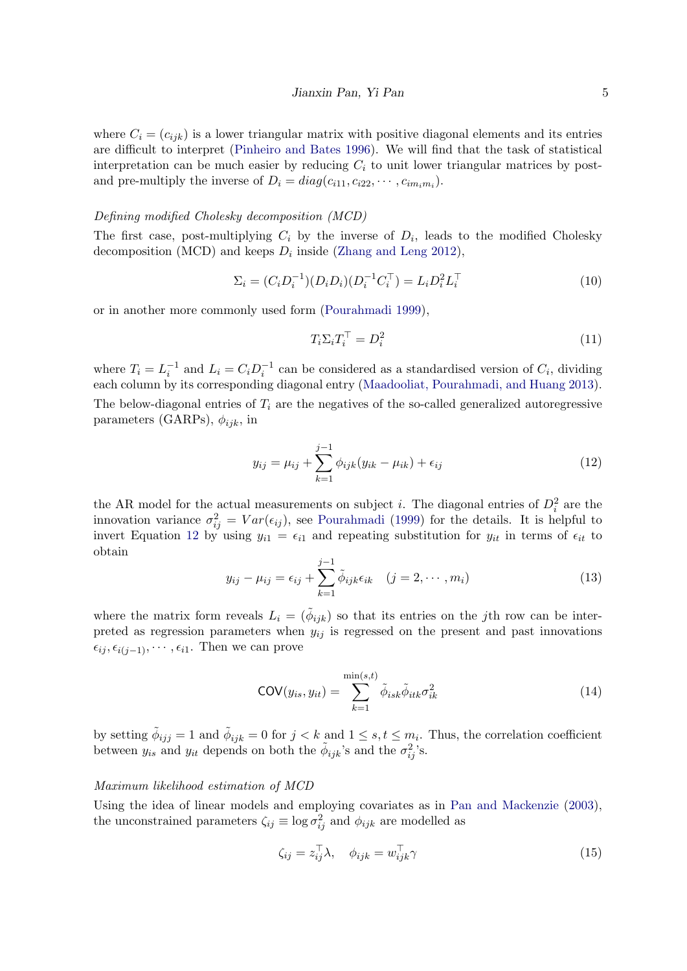where  $C_i = (c_{ijk})$  is a lower triangular matrix with positive diagonal elements and its entries are difficult to interpret [\(Pinheiro and Bates](#page-25-9) [1996\)](#page-25-9). We will find that the task of statistical interpretation can be much easier by reducing  $C_i$  to unit lower triangular matrices by postand pre-multiply the inverse of  $D_i = diag(c_{i11}, c_{i22}, \cdots, c_{im_i m_i}).$ 

#### Defining modified Cholesky decomposition (MCD)

The first case, post-multiplying  $C_i$  by the inverse of  $D_i$ , leads to the modified Cholesky decomposition (MCD) and keeps  $D_i$  inside [\(Zhang and Leng](#page-26-4) [2012\)](#page-26-4),

$$
\Sigma_i = (C_i D_i^{-1})(D_i D_i)(D_i^{-1} C_i^{\top}) = L_i D_i^2 L_i^{\top}
$$
\n(10)

or in another more commonly used form [\(Pourahmadi](#page-25-0) [1999\)](#page-25-0),

$$
T_i \Sigma_i T_i^\top = D_i^2 \tag{11}
$$

where  $T_i = L_i^{-1}$  and  $L_i = C_i D_i^{-1}$  can be considered as a standardised version of  $C_i$ , dividing each column by its corresponding diagonal entry [\(Maadooliat, Pourahmadi, and Huang](#page-25-10) [2013\)](#page-25-10). The below-diagonal entries of  $T_i$  are the negatives of the so-called generalized autoregressive parameters (GARPs),  $\phi_{ijk}$ , in

<span id="page-4-0"></span>
$$
y_{ij} = \mu_{ij} + \sum_{k=1}^{j-1} \phi_{ijk} (y_{ik} - \mu_{ik}) + \epsilon_{ij}
$$
 (12)

the AR model for the actual measurements on subject *i*. The diagonal entries of  $D_i^2$  are the innovation variance  $\sigma_{ij}^2 = Var(\epsilon_{ij})$ , see [Pourahmadi](#page-25-0) [\(1999\)](#page-25-0) for the details. It is helpful to invert Equation [12](#page-4-0) by using  $y_{i1} = \epsilon_{i1}$  and repeating substitution for  $y_{it}$  in terms of  $\epsilon_{it}$  to obtain

$$
y_{ij} - \mu_{ij} = \epsilon_{ij} + \sum_{k=1}^{j-1} \tilde{\phi}_{ijk} \epsilon_{ik} \quad (j = 2, \cdots, m_i)
$$
 (13)

where the matrix form reveals  $L_i = (\phi_{ijk})$  so that its entries on the jth row can be interpreted as regression parameters when  $y_{ij}$  is regressed on the present and past innovations  $\epsilon_{ij}, \epsilon_{i(j-1)}, \cdots, \epsilon_{i1}$ . Then we can prove

$$
COV(y_{is}, y_{it}) = \sum_{k=1}^{\min(s,t)} \tilde{\phi}_{isk} \tilde{\phi}_{itk} \sigma_{ik}^2
$$
 (14)

by setting  $\tilde{\phi}_{ijj} = 1$  and  $\tilde{\phi}_{ijk} = 0$  for  $j < k$  and  $1 \leq s, t \leq m_i$ . Thus, the correlation coefficient between  $y_{is}$  and  $y_{it}$  depends on both the  $\tilde{\phi}_{ijk}$ 's and the  $\sigma_{ij}^2$ 's.

#### Maximum likelihood estimation of MCD

Using the idea of linear models and employing covariates as in [Pan and Mackenzie](#page-25-1) [\(2003\)](#page-25-1), the unconstrained parameters  $\zeta_{ij} \equiv \log \sigma_{ij}^2$  and  $\phi_{ijk}$  are modelled as

<span id="page-4-1"></span>
$$
\zeta_{ij} = z_{ij}^{\top} \lambda, \quad \phi_{ijk} = w_{ijk}^{\top} \gamma \tag{15}
$$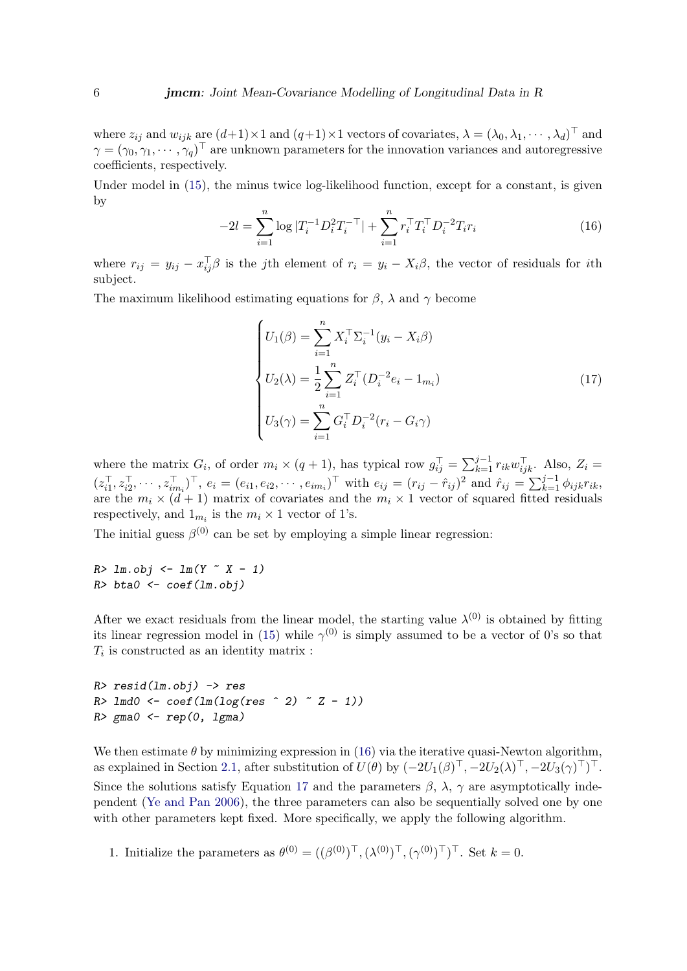where  $z_{ij}$  and  $w_{ijk}$  are  $(d+1) \times 1$  and  $(q+1) \times 1$  vectors of covariates,  $\lambda = (\lambda_0, \lambda_1, \dots, \lambda_d)^\top$  and  $\gamma = (\gamma_0, \gamma_1, \cdots, \gamma_q)^\top$  are unknown parameters for the innovation variances and autoregressive coefficients, respectively.

<span id="page-5-0"></span>Under model in  $(15)$ , the minus twice log-likelihood function, except for a constant, is given by

$$
-2l = \sum_{i=1}^{n} \log |T_i^{-1} D_i^2 T_i^{-\top}| + \sum_{i=1}^{n} r_i^{\top} T_i^{\top} D_i^{-2} T_i r_i
$$
 (16)

where  $r_{ij} = y_{ij} - x_{ij}^{\top} \beta$  is the jth element of  $r_i = y_i - X_i \beta$ , the vector of residuals for ith subject.

The maximum likelihood estimating equations for  $\beta$ ,  $\lambda$  and  $\gamma$  become

<span id="page-5-1"></span>
$$
\begin{cases}\nU_1(\beta) = \sum_{i=1}^n X_i^\top \Sigma_i^{-1} (y_i - X_i \beta) \\
U_2(\lambda) = \frac{1}{2} \sum_{i=1}^n Z_i^\top (D_i^{-2} e_i - 1_{m_i}) \\
U_3(\gamma) = \sum_{i=1}^n G_i^\top D_i^{-2} (r_i - G_i \gamma)\n\end{cases} \tag{17}
$$

where the matrix  $G_i$ , of order  $m_i \times (q+1)$ , has typical row  $g_{ij}^{\top} = \sum_{k=1}^{j-1} r_{ik} w_{ijk}^{\top}$ . Also,  $Z_i =$  $(z_{i1}^{\top}, z_{i2}^{\top}, \cdots, z_{im_i}^{\top})^{\top}$ ,  $e_i = (e_{i1}, e_{i2}, \cdots, e_{im_i})^{\top}$  with  $e_{ij} = (r_{ij} - \hat{r}_{ij})^2$  and  $\hat{r}_{ij} = \sum_{k=1}^{j-1} \phi_{ijk} r_{ik}$ , are the  $m_i \times (d+1)$  matrix of covariates and the  $m_i \times 1$  vector of squared fitted residuals respectively, and  $1_{m_i}$  is the  $m_i \times 1$  vector of 1's.

The initial guess  $\beta^{(0)}$  can be set by employing a simple linear regression:

 $R > \text{l m.obj} \leq \text{l m}(Y \text{ X } - 1)$  $R$ > bta $0$  <- coef(lm.obj)

After we exact residuals from the linear model, the starting value  $\lambda^{(0)}$  is obtained by fitting its linear regression model in [\(15\)](#page-4-1) while  $\gamma^{(0)}$  is simply assumed to be a vector of 0's so that  $T_i$  is constructed as an identity matrix :

```
R> resid(lm.obj) -> resR > lmd0 <- coef(lm(log(res \hat{ } 2) \hat{ } Z - 1))
R > gma0 < - rep(0, lgma)
```
We then estimate  $\theta$  by minimizing expression in [\(16\)](#page-5-0) via the iterative quasi-Newton algorithm, as explained in Section [2.1,](#page-2-0) after substitution of  $U(\theta)$  by  $(-2U_1(\beta)^{\top}, -2U_2(\lambda)^{\top}, -2U_3(\gamma)^{\top})^{\top}$ . Since the solutions satisfy Equation [17](#page-5-1) and the parameters  $\beta$ ,  $\lambda$ ,  $\gamma$  are asymptotically independent [\(Ye and Pan](#page-26-5) [2006\)](#page-26-5), the three parameters can also be sequentially solved one by one with other parameters kept fixed. More specifically, we apply the following algorithm.

1. Initialize the parameters as  $\theta^{(0)} = ((\beta^{(0)})^{\top}, (\lambda^{(0)})^{\top}, (\gamma^{(0)})^{\top})^{\top}$ . Set  $k = 0$ .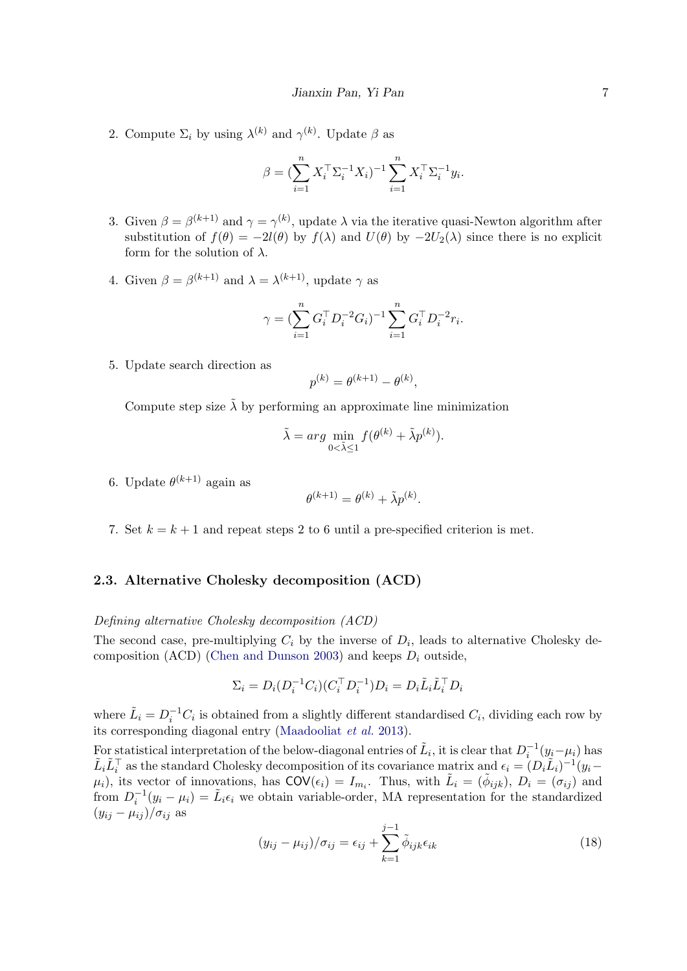2. Compute  $\Sigma_i$  by using  $\lambda^{(k)}$  and  $\gamma^{(k)}$ . Update  $\beta$  as

$$
\beta = (\sum_{i=1}^{n} X_i^{\top} \Sigma_i^{-1} X_i)^{-1} \sum_{i=1}^{n} X_i^{\top} \Sigma_i^{-1} y_i.
$$

- 3. Given  $\beta = \beta^{(k+1)}$  and  $\gamma = \gamma^{(k)}$ , update  $\lambda$  via the iterative quasi-Newton algorithm after substitution of  $f(\theta) = -2l(\theta)$  by  $f(\lambda)$  and  $U(\theta)$  by  $-2U_2(\lambda)$  since there is no explicit form for the solution of  $\lambda$ .
- 4. Given  $\beta = \beta^{(k+1)}$  and  $\lambda = \lambda^{(k+1)}$ , update  $\gamma$  as

$$
\gamma = (\sum_{i=1}^n G_i^\top D_i^{-2} G_i)^{-1} \sum_{i=1}^n G_i^\top D_i^{-2} r_i.
$$

5. Update search direction as

$$
p^{(k)} = \theta^{(k+1)} - \theta^{(k)},
$$

Compute step size  $\tilde{\lambda}$  by performing an approximate line minimization

$$
\tilde{\lambda} = arg \min_{0 < \tilde{\lambda} \le 1} f(\theta^{(k)} + \tilde{\lambda} p^{(k)}).
$$

6. Update  $\theta^{(k+1)}$  again as

$$
\theta^{(k+1)} = \theta^{(k)} + \tilde{\lambda}p^{(k)}.
$$

7. Set  $k = k + 1$  and repeat steps 2 to 6 until a pre-specified criterion is met.

## 2.3. Alternative Cholesky decomposition (ACD)

### Defining alternative Cholesky decomposition (ACD)

The second case, pre-multiplying  $C_i$  by the inverse of  $D_i$ , leads to alternative Cholesky de-composition (ACD) [\(Chen and Dunson](#page-24-1) [2003\)](#page-24-1) and keeps  $D_i$  outside,

$$
\Sigma_i = D_i (D_i^{-1} C_i) (C_i^\top D_i^{-1}) D_i = D_i \tilde{L}_i \tilde{L}_i^\top D_i
$$

where  $\tilde{L}_i = D_i^{-1} C_i$  is obtained from a slightly different standardised  $C_i$ , dividing each row by its corresponding diagonal entry [\(Maadooliat](#page-25-10) et al. [2013\)](#page-25-10).

For statistical interpretation of the below-diagonal entries of  $\tilde{L}_i$ , it is clear that  $D_i^{-1}(y_i-\mu_i)$  has  $\tilde{L}_i \tilde{L}_i^{\top}$  as the standard Cholesky decomposition of its covariance matrix and  $\epsilon_i = (D_i \tilde{L}_i)^{-1} (y_i (\mu_i)$ , its vector of innovations, has  $COV(\epsilon_i) = I_{m_i}$ . Thus, with  $\tilde{L}_i = (\tilde{\phi}_{ijk})$ ,  $D_i = (\sigma_{ij})$  and from  $D_i^{-1}(y_i - \mu_i) = \tilde{L}_i \epsilon_i$  we obtain variable-order, MA representation for the standardized  $(y_{ij} - \mu_{ij})/\sigma_{ij}$  as

$$
(y_{ij} - \mu_{ij})/\sigma_{ij} = \epsilon_{ij} + \sum_{k=1}^{j-1} \tilde{\phi}_{ijk}\epsilon_{ik}
$$
\n(18)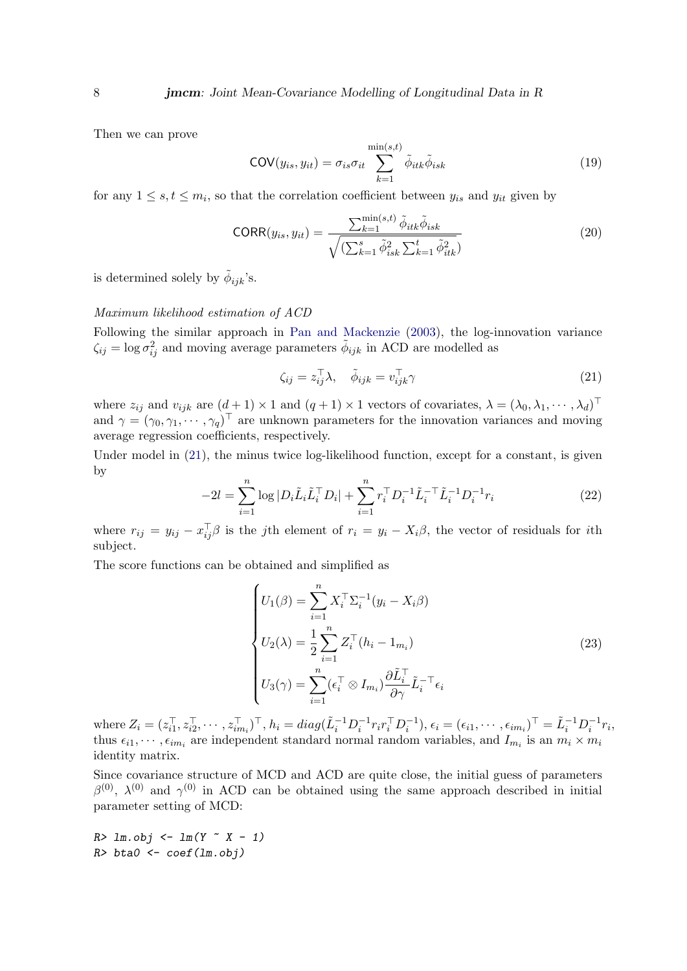Then we can prove

$$
COV(y_{is}, y_{it}) = \sigma_{is}\sigma_{it} \sum_{k=1}^{\min(s,t)} \tilde{\phi}_{itk}\tilde{\phi}_{isk}
$$
 (19)

for any  $1 \leq s, t \leq m_i$ , so that the correlation coefficient between  $y_{is}$  and  $y_{it}$  given by

$$
CORR(y_{is}, y_{it}) = \frac{\sum_{k=1}^{\min(s,t)} \tilde{\phi}_{itk} \tilde{\phi}_{isk}}{\sqrt{(\sum_{k=1}^s \tilde{\phi}_{isk}^2 \sum_{k=1}^t \tilde{\phi}_{itk}^2)}}
$$
(20)

is determined solely by  $\tilde{\phi}_{ijk}$ 's.

#### Maximum likelihood estimation of ACD

Following the similar approach in [Pan and Mackenzie](#page-25-1) [\(2003\)](#page-25-1), the log-innovation variance  $\zeta_{ij} = \log \sigma_{ij}^2$  and moving average parameters  $\tilde{\phi}_{ijk}$  in ACD are modelled as

<span id="page-7-0"></span>
$$
\zeta_{ij} = z_{ij}^{\top} \lambda, \quad \tilde{\phi}_{ijk} = v_{ijk}^{\top} \gamma \tag{21}
$$

where  $z_{ij}$  and  $v_{ijk}$  are  $(d+1) \times 1$  and  $(q+1) \times 1$  vectors of covariates,  $\lambda = (\lambda_0, \lambda_1, \cdots, \lambda_d)^\top$ and  $\gamma = (\gamma_0, \gamma_1, \cdots, \gamma_q)^\top$  are unknown parameters for the innovation variances and moving average regression coefficients, respectively.

<span id="page-7-1"></span>Under model in [\(21\)](#page-7-0), the minus twice log-likelihood function, except for a constant, is given by

$$
-2l = \sum_{i=1}^{n} \log |D_i \tilde{L}_i \tilde{L}_i^{\top} D_i| + \sum_{i=1}^{n} r_i^{\top} D_i^{-1} \tilde{L}_i^{-1} \tilde{L}_i^{-1} D_i^{-1} r_i
$$
\n(22)

where  $r_{ij} = y_{ij} - x_{ij}^{\top} \beta$  is the jth element of  $r_i = y_i - X_i \beta$ , the vector of residuals for ith subject.

The score functions can be obtained and simplified as

<span id="page-7-2"></span>
$$
\begin{cases}\nU_1(\beta) = \sum_{i=1}^n X_i^\top \Sigma_i^{-1} (y_i - X_i \beta) \\
U_2(\lambda) = \frac{1}{2} \sum_{i=1}^n Z_i^\top (h_i - 1_{m_i}) \\
U_3(\gamma) = \sum_{i=1}^n (\epsilon_i^\top \otimes I_{m_i}) \frac{\partial \tilde{L}_i^\top}{\partial \gamma} \tilde{L}_i^{-\top} \epsilon_i\n\end{cases}
$$
\n(23)

where  $Z_i = (z_{i1}^\top, z_{i2}^\top, \cdots, z_{im_i}^\top)^\top$ ,  $h_i = diag(\tilde{L}_i^{-1}D_i^{-1}r_i r_i^\top D_i^{-1})$ ,  $\epsilon_i = (\epsilon_{i1}, \cdots, \epsilon_{im_i})^\top = \tilde{L}_i^{-1}D_i^{-1}r_i$ , thus  $\epsilon_{i1}, \cdots, \epsilon_{im_i}$  are independent standard normal random variables, and  $I_{m_i}$  is an  $m_i \times m_i$ identity matrix.

Since covariance structure of MCD and ACD are quite close, the initial guess of parameters  $β^{(0)}$ ,  $λ^{(0)}$  and  $γ^{(0)}$  in ACD can be obtained using the same approach described in initial parameter setting of MCD:

 $R > lm.obj \leftarrow lm(Y \sim X - 1)$  $R$ > bta $0$  <- coef(lm.obj)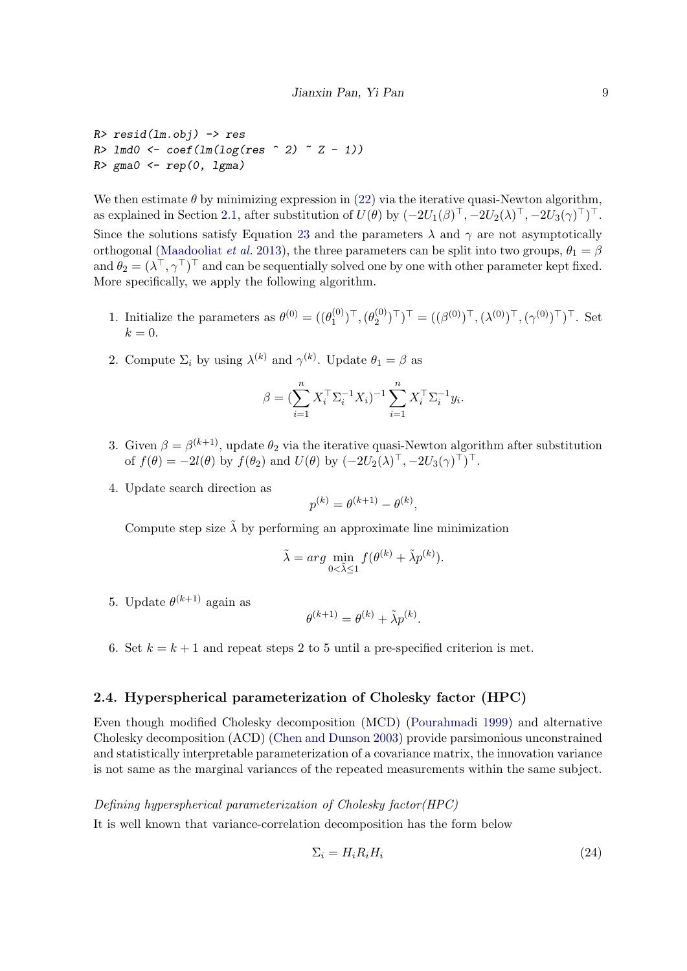```
R> resid(lm.obj) -> res
R > 1md0 \leq coef(ln(log(res \cap 2) \cap Z - 1))
R > gma0 < - rep(0, lgma)
```
We then estimate  $\theta$  by minimizing expression in [\(22\)](#page-7-1) via the iterative quasi-Newton algorithm, as explained in Section [2.1,](#page-2-0) after substitution of  $U(\theta)$  by  $(-2U_1(\beta)^{\top}, -2U_2(\lambda)^{\top}, -2U_3(\gamma)^{\top})^{\top}$ . Since the solutions satisfy Equation [23](#page-7-2) and the parameters  $\lambda$  and  $\gamma$  are not asymptotically orthogonal [\(Maadooliat](#page-25-10) *et al.* [2013\)](#page-25-10), the three parameters can be split into two groups,  $\theta_1 = \beta$ and  $\theta_2 = (\lambda^\top, \gamma^\top)^\top$  and can be sequentially solved one by one with other parameter kept fixed. More specifically, we apply the following algorithm.

- 1. Initialize the parameters as  $\theta^{(0)} = ((\theta_1^{(0)})$  $\binom{(0)}{1}^{\top},(\theta_2^{(0)}% )^{\top}$  $(\binom{10}{2})^{\top}$ )<sup>T</sup> =  $((\beta^{(0)})^{\top}, (\lambda^{(0)})^{\top}, (\gamma^{(0)})^{\top})^{\top}$ . Set  $k = 0$ .
- 2. Compute  $\Sigma_i$  by using  $\lambda^{(k)}$  and  $\gamma^{(k)}$ . Update  $\theta_1 = \beta$  as

$$
\beta = (\sum_{i=1}^n X_i^{\top} \Sigma_i^{-1} X_i)^{-1} \sum_{i=1}^n X_i^{\top} \Sigma_i^{-1} y_i.
$$

- 3. Given  $\beta = \beta^{(k+1)}$ , update  $\theta_2$  via the iterative quasi-Newton algorithm after substitution of  $f(\theta) = -2l(\theta)$  by  $f(\theta_2)$  and  $U(\theta)$  by  $(-2U_2(\lambda)^\top, -2U_3(\gamma)^\top)^\top$ .
- 4. Update search direction as

$$
p^{(k)} = \theta^{(k+1)} - \theta^{(k)},
$$

Compute step size  $\lambda$  by performing an approximate line minimization

$$
\tilde{\lambda} = arg \min_{0 < \tilde{\lambda} \le 1} f(\theta^{(k)} + \tilde{\lambda} p^{(k)}).
$$

5. Update  $\theta^{(k+1)}$  again as

$$
\theta^{(k+1)} = \theta^{(k)} + \tilde{\lambda}p^{(k)}.
$$

6. Set  $k = k + 1$  and repeat steps 2 to 5 until a pre-specified criterion is met.

#### 2.4. Hyperspherical parameterization of Cholesky factor (HPC)

Even though modified Cholesky decomposition (MCD) [\(Pourahmadi](#page-25-0) [1999\)](#page-25-0) and alternative Cholesky decomposition (ACD) [\(Chen and Dunson](#page-24-1) [2003\)](#page-24-1) provide parsimonious unconstrained and statistically interpretable parameterization of a covariance matrix, the innovation variance is not same as the marginal variances of the repeated measurements within the same subject.

Defining hyperspherical parameterization of Cholesky factor(HPC)

It is well known that variance-correlation decomposition has the form below

$$
\Sigma_i = H_i R_i H_i \tag{24}
$$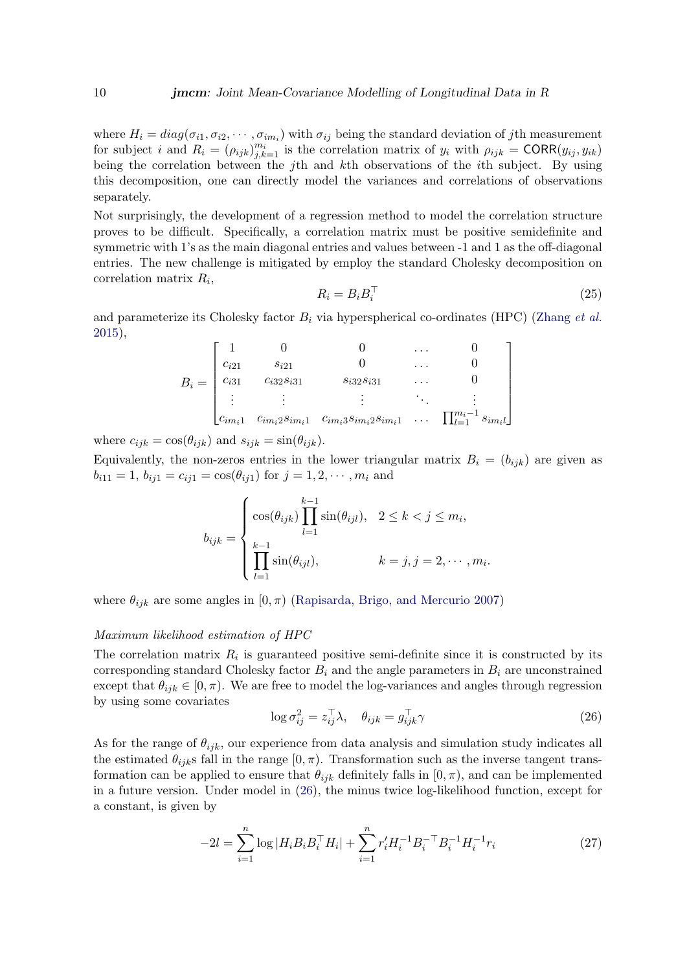where  $H_i = diag(\sigma_{i1}, \sigma_{i2}, \cdots, \sigma_{im_i})$  with  $\sigma_{ij}$  being the standard deviation of jth measurement for subject i and  $R_i = (\rho_{ijk})_{j,k=1}^{m_i}$  is the correlation matrix of  $y_i$  with  $\rho_{ijk} = \text{CORR}(y_{ij}, y_{ik})$ being the correlation between the j<sup>th</sup> and *k*th observations of the *i*th subject. By using this decomposition, one can directly model the variances and correlations of observations separately.

Not surprisingly, the development of a regression method to model the correlation structure proves to be difficult. Specifically, a correlation matrix must be positive semidefinite and symmetric with 1's as the main diagonal entries and values between -1 and 1 as the off-diagonal entries. The new challenge is mitigated by employ the standard Cholesky decomposition on correlation matrix  $R_i$ ,

$$
R_i = B_i B_i^\top \tag{25}
$$

and parameterize its Cholesky factor  $B_i$  via hyperspherical co-ordinates (HPC) [\(Zhang](#page-26-0) *et al.*) [2015\)](#page-26-0),

$$
B_{i} = \begin{bmatrix} 1 & 0 & 0 & \dots & 0 \\ c_{i21} & s_{i21} & 0 & \dots & 0 \\ c_{i31} & c_{i32}s_{i31} & s_{i32}s_{i31} & \dots & 0 \\ \vdots & \vdots & \vdots & \ddots & \vdots \\ c_{im_{i}1} & c_{im_{i}2}s_{im_{i}1} & c_{im_{i}3}s_{im_{i}2}s_{im_{i}1} & \dots & \prod_{l=1}^{m_{i}-1} s_{im_{i}l} \end{bmatrix}
$$

where  $c_{ijk} = \cos(\theta_{ijk})$  and  $s_{ijk} = \sin(\theta_{ijk})$ .

Equivalently, the non-zeros entries in the lower triangular matrix  $B_i = (b_{ijk})$  are given as  $b_{i11} = 1, b_{i1} = c_{i1} = \cos(\theta_{i1})$  for  $j = 1, 2, \dots, m_i$  and

$$
b_{ijk} = \begin{cases} \cos(\theta_{ijk}) \prod_{l=1}^{k-1} \sin(\theta_{ijl}), & 2 \le k < j \le m_i, \\ \prod_{l=1}^{k-1} \sin(\theta_{ijl}), & k = j, j = 2, \cdots, m_i. \end{cases}
$$

where  $\theta_{ijk}$  are some angles in  $[0, \pi)$  [\(Rapisarda, Brigo, and Mercurio](#page-25-11) [2007\)](#page-25-11)

#### Maximum likelihood estimation of HPC

The correlation matrix  $R_i$  is guaranteed positive semi-definite since it is constructed by its corresponding standard Cholesky factor  $B_i$  and the angle parameters in  $B_i$  are unconstrained except that  $\theta_{ijk} \in [0, \pi)$ . We are free to model the log-variances and angles through regression by using some covariates

<span id="page-9-0"></span>
$$
\log \sigma_{ij}^2 = z_{ij}^\top \lambda, \quad \theta_{ijk} = g_{ijk}^\top \gamma \tag{26}
$$

As for the range of  $\theta_{ijk}$ , our experience from data analysis and simulation study indicates all the estimated  $\theta_{ijk}$ s fall in the range  $[0, \pi)$ . Transformation such as the inverse tangent transformation can be applied to ensure that  $\theta_{ijk}$  definitely falls in  $[0, \pi)$ , and can be implemented in a future version. Under model in [\(26\)](#page-9-0), the minus twice log-likelihood function, except for a constant, is given by

<span id="page-9-1"></span>
$$
-2l = \sum_{i=1}^{n} \log |H_i B_i B_i^\top H_i| + \sum_{i=1}^{n} r_i' H_i^{-1} B_i^{-\top} B_i^{-1} H_i^{-1} r_i
$$
 (27)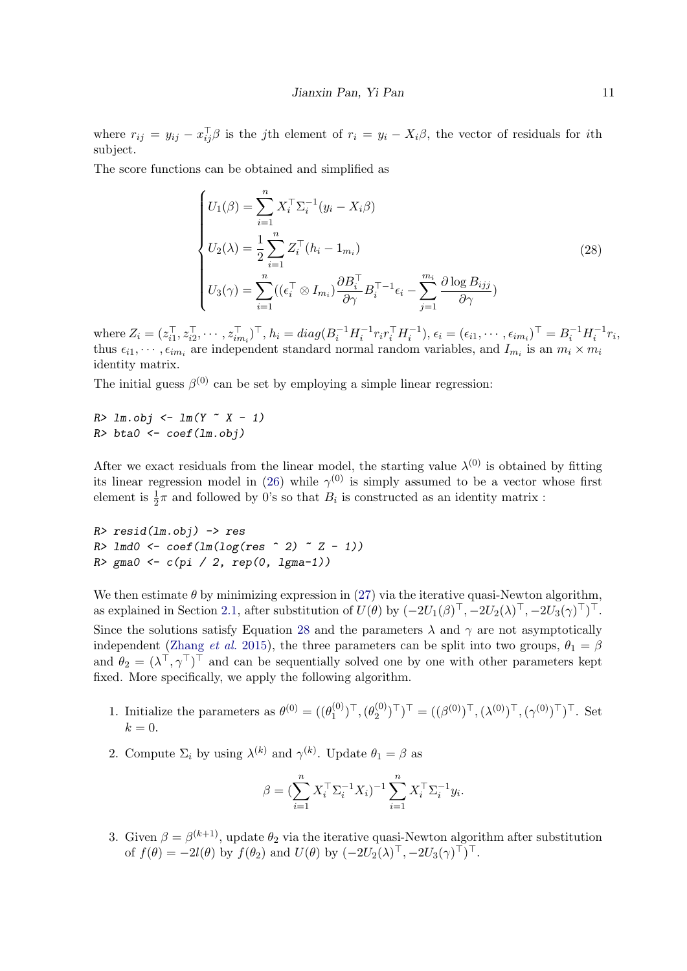where  $r_{ij} = y_{ij} - x_{ij}^{\top} \beta$  is the jth element of  $r_i = y_i - X_i \beta$ , the vector of residuals for ith subject.

The score functions can be obtained and simplified as

<span id="page-10-0"></span>
$$
\begin{cases}\nU_1(\beta) = \sum_{i=1}^n X_i^\top \Sigma_i^{-1} (y_i - X_i \beta) \\
U_2(\lambda) = \frac{1}{2} \sum_{i=1}^n Z_i^\top (h_i - 1_{m_i}) \\
U_3(\gamma) = \sum_{i=1}^n ((\epsilon_i^\top \otimes I_{m_i}) \frac{\partial B_i^\top}{\partial \gamma} B_i^\top^{-1} \epsilon_i - \sum_{j=1}^{m_i} \frac{\partial \log B_{ijj}}{\partial \gamma})\n\end{cases}
$$
\n(28)

where  $Z_i = (z_{i1}^\top, z_{i2}^\top, \cdots, z_{im_i}^\top)^\top$ ,  $h_i = diag(B_i^{-1} H_i^{-1} r_i r_i^\top H_i^{-1})$ ,  $\epsilon_i = (\epsilon_{i1}, \cdots, \epsilon_{im_i})^\top = B_i^{-1} H_i^{-1} r_i$ , thus  $\epsilon_{i1}, \cdots, \epsilon_{im_i}$  are independent standard normal random variables, and  $I_{m_i}$  is an  $m_i \times m_i$ identity matrix.

The initial guess  $\beta^{(0)}$  can be set by employing a simple linear regression:

 $R > lm.obj \leq lm(Y \sim X - 1)$  $R$ > bta $0$  <- coef(lm.obj)

After we exact residuals from the linear model, the starting value  $\lambda^{(0)}$  is obtained by fitting its linear regression model in [\(26\)](#page-9-0) while  $\gamma^{(0)}$  is simply assumed to be a vector whose first element is  $\frac{1}{2}\pi$  and followed by 0's so that  $B_i$  is constructed as an identity matrix :

 $R$ >  $resid(lm.obj)$  ->  $res$  $R >$  lmd0 <- coef(lm(log(res  $\hat{ }$  2)  $\hat{ }$  Z - 1))  $R >$  gma0 <-  $c(pi / 2, rep(0, 1gma-1))$ 

We then estimate  $\theta$  by minimizing expression in [\(27\)](#page-9-1) via the iterative quasi-Newton algorithm, as explained in Section [2.1,](#page-2-0) after substitution of  $U(\theta)$  by  $(-2U_1(\beta)^{\top}, -2U_2(\lambda)^{\top}, -2U_3(\gamma)^{\top})^{\top}$ . Since the solutions satisfy Equation [28](#page-10-0) and the parameters  $\lambda$  and  $\gamma$  are not asymptotically independent [\(Zhang](#page-26-0) *et al.* [2015\)](#page-26-0), the three parameters can be split into two groups,  $\theta_1 = \beta$ and  $\theta_2 = (\lambda^\top, \gamma^\top)^\top$  and can be sequentially solved one by one with other parameters kept fixed. More specifically, we apply the following algorithm.

- 1. Initialize the parameters as  $\theta^{(0)} = ((\theta_1^{(0)})$  $\binom{(0)}{1}^{\top},(\theta_2^{(0)}% )^{\top}$  $(\binom{0}{2})^{\top}$ )<sup>T</sup> =  $((\beta^{(0)})^{\top}, (\lambda^{(0)})^{\top}, (\gamma^{(0)})^{\top})^{\top}$ . Set  $k = 0$ .
- 2. Compute  $\Sigma_i$  by using  $\lambda^{(k)}$  and  $\gamma^{(k)}$ . Update  $\theta_1 = \beta$  as

$$
\beta = (\sum_{i=1}^n X_i^{\top} \Sigma_i^{-1} X_i)^{-1} \sum_{i=1}^n X_i^{\top} \Sigma_i^{-1} y_i.
$$

3. Given  $\beta = \beta^{(k+1)}$ , update  $\theta_2$  via the iterative quasi-Newton algorithm after substitution of  $f(\theta) = -2l(\theta)$  by  $f(\theta_2)$  and  $U(\theta)$  by  $(-2U_2(\lambda)^\top, -2U_3(\gamma)^\top)^\top$ .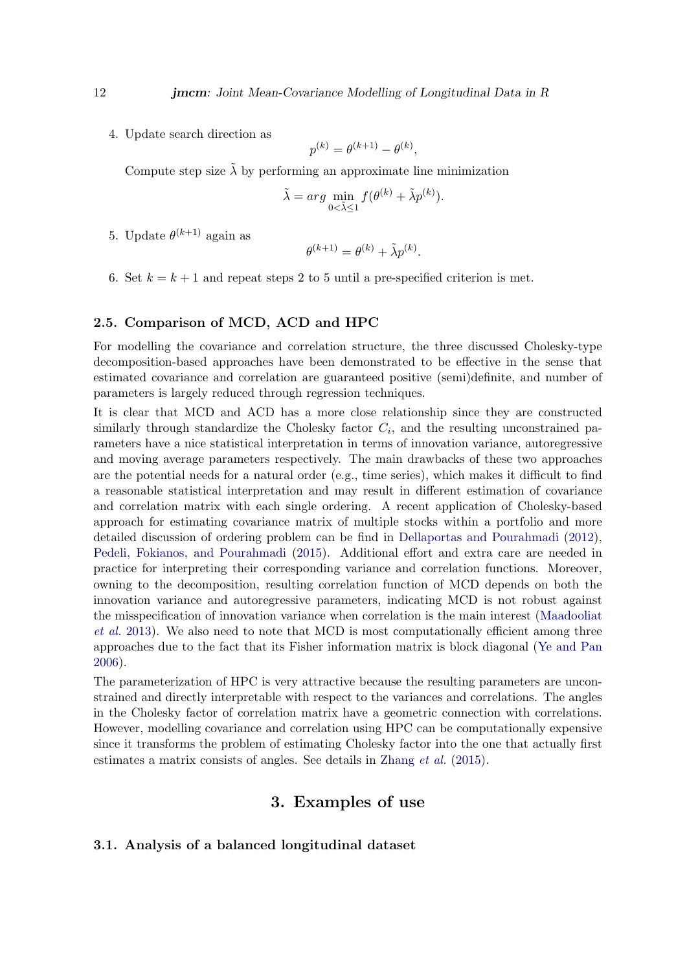4. Update search direction as

$$
p^{(k)} = \theta^{(k+1)} - \theta^{(k)},
$$

Compute step size  $\tilde{\lambda}$  by performing an approximate line minimization

$$
\tilde{\lambda} = arg \min_{0 < \tilde{\lambda} \le 1} f(\theta^{(k)} + \tilde{\lambda} p^{(k)}).
$$

5. Update  $\theta^{(k+1)}$  again as

$$
\theta^{(k+1)} = \theta^{(k)} + \tilde{\lambda} p^{(k)}.
$$

6. Set  $k = k + 1$  and repeat steps 2 to 5 until a pre-specified criterion is met.

#### 2.5. Comparison of MCD, ACD and HPC

For modelling the covariance and correlation structure, the three discussed Cholesky-type decomposition-based approaches have been demonstrated to be effective in the sense that estimated covariance and correlation are guaranteed positive (semi)definite, and number of parameters is largely reduced through regression techniques.

It is clear that MCD and ACD has a more close relationship since they are constructed similarly through standardize the Cholesky factor  $C_i$ , and the resulting unconstrained parameters have a nice statistical interpretation in terms of innovation variance, autoregressive and moving average parameters respectively. The main drawbacks of these two approaches are the potential needs for a natural order (e.g., time series), which makes it difficult to find a reasonable statistical interpretation and may result in different estimation of covariance and correlation matrix with each single ordering. A recent application of Cholesky-based approach for estimating covariance matrix of multiple stocks within a portfolio and more detailed discussion of ordering problem can be find in [Dellaportas and Pourahmadi](#page-24-9) [\(2012\)](#page-24-9), [Pedeli, Fokianos, and Pourahmadi](#page-25-12) [\(2015\)](#page-25-12). Additional effort and extra care are needed in practice for interpreting their corresponding variance and correlation functions. Moreover, owning to the decomposition, resulting correlation function of MCD depends on both the innovation variance and autoregressive parameters, indicating MCD is not robust against the misspecification of innovation variance when correlation is the main interest [\(Maadooliat](#page-25-10) [et al.](#page-25-10) [2013\)](#page-25-10). We also need to note that MCD is most computationally efficient among three approaches due to the fact that its Fisher information matrix is block diagonal [\(Ye and Pan](#page-26-5) [2006\)](#page-26-5).

The parameterization of HPC is very attractive because the resulting parameters are unconstrained and directly interpretable with respect to the variances and correlations. The angles in the Cholesky factor of correlation matrix have a geometric connection with correlations. However, modelling covariance and correlation using HPC can be computationally expensive since it transforms the problem of estimating Cholesky factor into the one that actually first estimates a matrix consists of angles. See details in [Zhang](#page-26-0) et al. [\(2015\)](#page-26-0).

# 3. Examples of use

### 3.1. Analysis of a balanced longitudinal dataset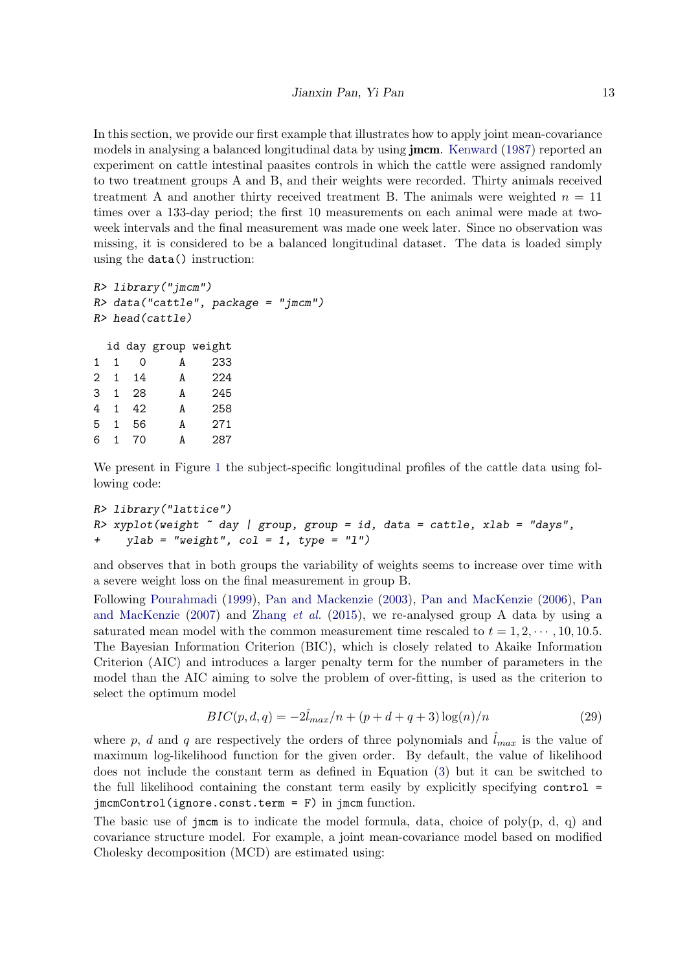In this section, we provide our first example that illustrates how to apply joint mean-covariance models in analysing a balanced longitudinal data by using **jmcm**. [Kenward](#page-25-13) [\(1987\)](#page-25-13) reported an experiment on cattle intestinal paasites controls in which the cattle were assigned randomly to two treatment groups A and B, and their weights were recorded. Thirty animals received treatment A and another thirty received treatment B. The animals were weighted  $n = 11$ times over a 133-day period; the first 10 measurements on each animal were made at twoweek intervals and the final measurement was made one week later. Since no observation was missing, it is considered to be a balanced longitudinal dataset. The data is loaded simply using the data() instruction:

```
R> library("jmcm")
R> data("cattle", package = "jmcm")
R> head(cattle)
 id day group weight
1 1 0 A 233
2 1 14 A 224
3 1 28 A 245
4 1 42 A 258
5 1 56 A 271
6 1 70 A 287
```
We present in Figure [1](#page-13-0) the subject-specific longitudinal profiles of the cattle data using following code:

```
R> library("lattice")
R> xyplot(weight \tilde{ } day | group, group = id, data = cattle, xlab = "days",
+ ylab = "weight", col = 1, type = "l")
```
and observes that in both groups the variability of weights seems to increase over time with a severe weight loss on the final measurement in group B.

Following [Pourahmadi](#page-25-0) [\(1999\)](#page-25-0), [Pan and Mackenzie](#page-25-1) [\(2003\)](#page-25-1), [Pan and MacKenzie](#page-25-14) [\(2006\)](#page-25-14), [Pan](#page-25-15) [and MacKenzie](#page-25-15) [\(2007\)](#page-25-15) and [Zhang](#page-26-0) *et al.* [\(2015\)](#page-26-0), we re-analysed group A data by using a saturated mean model with the common measurement time rescaled to  $t = 1, 2, \dots, 10, 10.5$ . The Bayesian Information Criterion (BIC), which is closely related to Akaike Information Criterion (AIC) and introduces a larger penalty term for the number of parameters in the model than the AIC aiming to solve the problem of over-fitting, is used as the criterion to select the optimum model

$$
BIC(p, d, q) = -2\hat{l}_{max}/n + (p + d + q + 3)\log(n)/n \tag{29}
$$

where p, d and q are respectively the orders of three polynomials and  $\hat{l}_{max}$  is the value of maximum log-likelihood function for the given order. By default, the value of likelihood does not include the constant term as defined in Equation [\(3\)](#page-2-1) but it can be switched to the full likelihood containing the constant term easily by explicitly specifying control = jmcmControl(ignore.const.term = F) in jmcm function.

The basic use of jmcm is to indicate the model formula, data, choice of poly $(p, d, q)$  and covariance structure model. For example, a joint mean-covariance model based on modified Cholesky decomposition (MCD) are estimated using: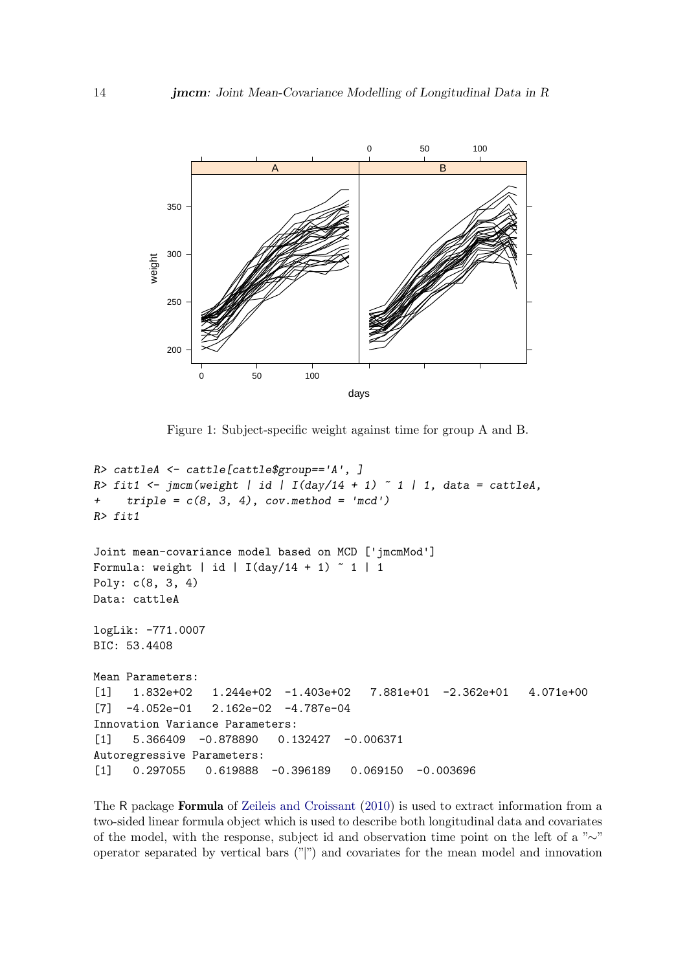

<span id="page-13-0"></span>Figure 1: Subject-specific weight against time for group A and B.

```
R> cattleA <- cattle[cattle$group=='A', ]
R> fit1 <- jmcm(weight | id | I(day/14 + 1) ~ 1 | 1, data = cattleA,
+ triple = c(8, 3, 4), cov.method = 'mcd')R> fit1
Joint mean-covariance model based on MCD ['jmcmMod']
Formula: weight | id | I(day/14 + 1) \degree 1 | 1
Poly: c(8, 3, 4)
Data: cattleA
logLik: -771.0007
BIC: 53.4408
Mean Parameters:
[1] 1.832e+02 1.244e+02 -1.403e+02 7.881e+01 -2.362e+01 4.071e+00
[7] -4.052e-01 2.162e-02 -4.787e-04
Innovation Variance Parameters:
[1] 5.366409 -0.878890 0.132427 -0.006371
Autoregressive Parameters:
[1] 0.297055 0.619888 -0.396189 0.069150 -0.003696
```
The R package Formula of [Zeileis and Croissant](#page-26-6) [\(2010\)](#page-26-6) is used to extract information from a two-sided linear formula object which is used to describe both longitudinal data and covariates of the model, with the response, subject id and observation time point on the left of a "∼" operator separated by vertical bars ("|") and covariates for the mean model and innovation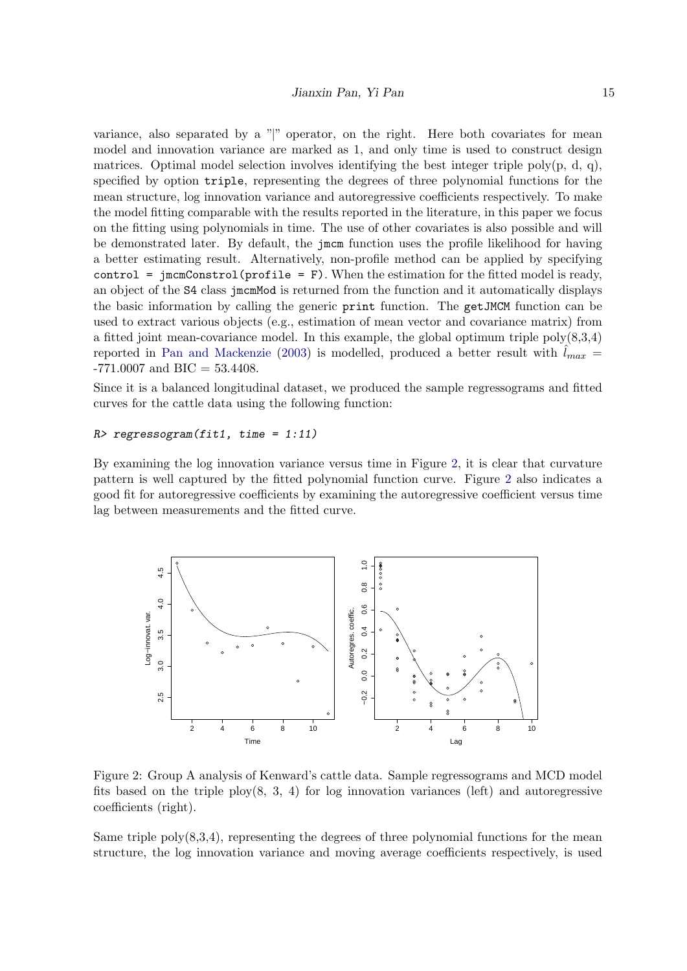variance, also separated by a "|" operator, on the right. Here both covariates for mean model and innovation variance are marked as 1, and only time is used to construct design matrices. Optimal model selection involves identifying the best integer triple poly(p, d, q), specified by option triple, representing the degrees of three polynomial functions for the mean structure, log innovation variance and autoregressive coefficients respectively. To make the model fitting comparable with the results reported in the literature, in this paper we focus on the fitting using polynomials in time. The use of other covariates is also possible and will be demonstrated later. By default, the jmcm function uses the profile likelihood for having a better estimating result. Alternatively, non-profile method can be applied by specifying control =  $\mathrm{imconstrol}(\mathrm{profile} = F)$ . When the estimation for the fitted model is ready, an object of the S4 class jmcmMod is returned from the function and it automatically displays the basic information by calling the generic print function. The getJMCM function can be used to extract various objects (e.g., estimation of mean vector and covariance matrix) from a fitted joint mean-covariance model. In this example, the global optimum triple  $poly(8,3,4)$ reported in [Pan and Mackenzie](#page-25-1) [\(2003\)](#page-25-1) is modelled, produced a better result with  $l_{max}$  =  $-771.0007$  and BIC = 53.4408.

Since it is a balanced longitudinal dataset, we produced the sample regressograms and fitted curves for the cattle data using the following function:

#### $R$ > regressogram(fit1, time = 1:11)

By examining the log innovation variance versus time in Figure [2,](#page-14-0) it is clear that curvature pattern is well captured by the fitted polynomial function curve. Figure [2](#page-14-0) also indicates a good fit for autoregressive coefficients by examining the autoregressive coefficient versus time lag between measurements and the fitted curve.



<span id="page-14-0"></span>Figure 2: Group A analysis of Kenward's cattle data. Sample regressograms and MCD model fits based on the triple  $\text{ploy}(8, 3, 4)$  for log innovation variances (left) and autoregressive coefficients (right).

Same triple  $poly(8,3,4)$ , representing the degrees of three polynomial functions for the mean structure, the log innovation variance and moving average coefficients respectively, is used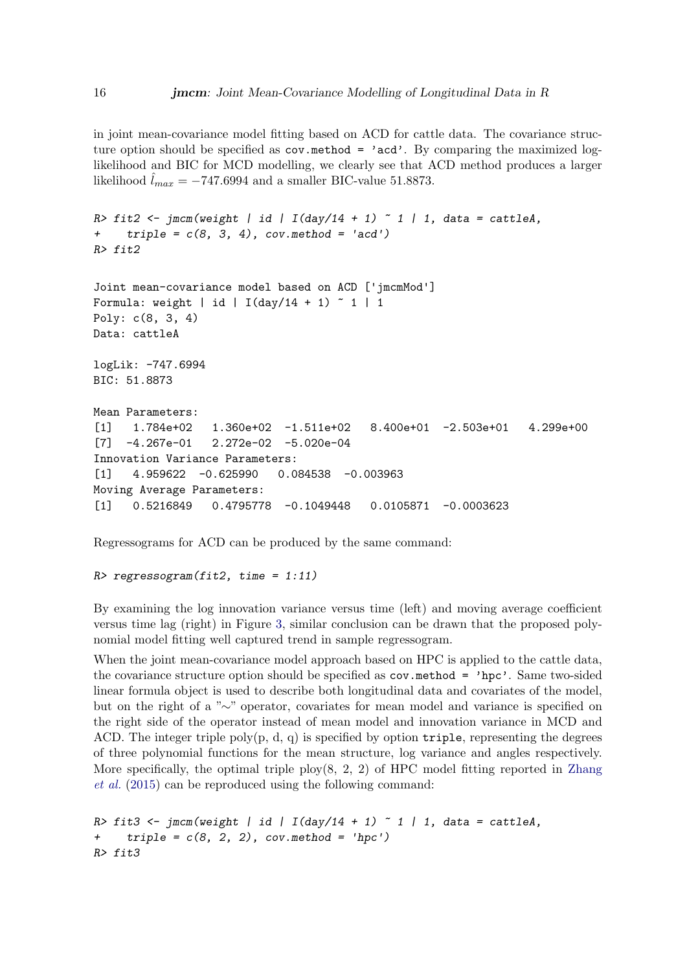in joint mean-covariance model fitting based on ACD for cattle data. The covariance structure option should be specified as  $cov.\text{method} = \text{'acd'}$ . By comparing the maximized loglikelihood and BIC for MCD modelling, we clearly see that ACD method produces a larger likelihood  $l_{max} = -747.6994$  and a smaller BIC-value 51.8873.

```
R> fit2 <- jmcm(weight | id | I(day/14 + 1) ~ 1 | 1, data = cattleA,
+ triple = c(8, 3, 4), cov.method = 'acd')R> fit2
Joint mean-covariance model based on ACD ['jmcmMod']
Formula: weight | id | I(day/14 + 1) \degree 1 | 1
Poly: c(8, 3, 4)
Data: cattleA
logLik: -747.6994
BIC: 51.8873
Mean Parameters:
[1] 1.784e+02 1.360e+02 -1.511e+02 8.400e+01 -2.503e+01 4.299e+00
[7] -4.267e-01 2.272e-02 -5.020e-04
Innovation Variance Parameters:
[1] 4.959622 -0.625990 0.084538 -0.003963
Moving Average Parameters:
[1] 0.5216849 0.4795778 -0.1049448 0.0105871 -0.0003623
```
Regressograms for ACD can be produced by the same command:

#### $R$ > regressogram(fit2, time = 1:11)

By examining the log innovation variance versus time (left) and moving average coefficient versus time lag (right) in Figure [3,](#page-16-0) similar conclusion can be drawn that the proposed polynomial model fitting well captured trend in sample regressogram.

When the joint mean-covariance model approach based on HPC is applied to the cattle data, the covariance structure option should be specified as  $cov$  method = 'hpc'. Same two-sided linear formula object is used to describe both longitudinal data and covariates of the model, but on the right of a "∼" operator, covariates for mean model and variance is specified on the right side of the operator instead of mean model and innovation variance in MCD and ACD. The integer triple poly $(p, d, q)$  is specified by option triple, representing the degrees of three polynomial functions for the mean structure, log variance and angles respectively. More specifically, the optimal triple  $\text{ploy}(8, 2, 2)$  of HPC model fitting reported in [Zhang](#page-26-0) [et al.](#page-26-0) [\(2015\)](#page-26-0) can be reproduced using the following command:

```
R> fit3 <- jmcm(weight | id | I(day/14 + 1) ~ 1 | 1, data = cattleA,
    triple = c(8, 2, 2), cov.method = 'hpc')R> fit3
```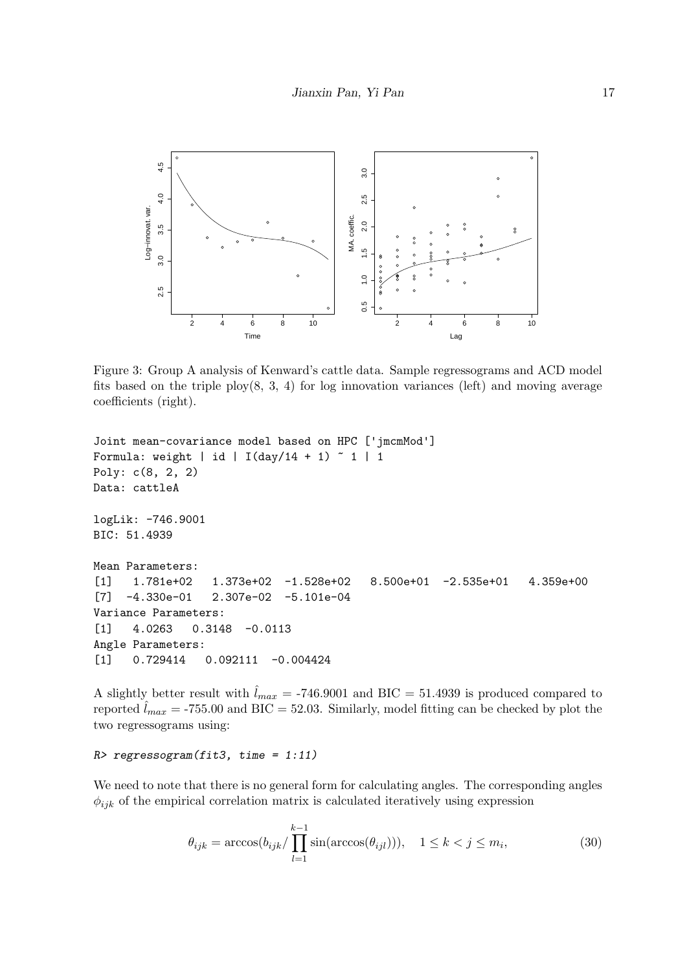

<span id="page-16-0"></span>Figure 3: Group A analysis of Kenward's cattle data. Sample regressograms and ACD model fits based on the triple  $\text{plov}(8, 3, 4)$  for log innovation variances (left) and moving average coefficients (right).

```
Joint mean-covariance model based on HPC ['jmcmMod']
Formula: weight | id | I(day/14 + 1) \degree 1 | 1
Poly: c(8, 2, 2)
Data: cattleA
logLik: -746.9001
BIC: 51.4939
Mean Parameters:
[1] 1.781e+02 1.373e+02 -1.528e+02 8.500e+01 -2.535e+01 4.359e+00
[7] -4.330e-01 2.307e-02 -5.101e-04
Variance Parameters:
[1] 4.0263 0.3148 -0.0113
Angle Parameters:
[1] 0.729414 0.092111 -0.004424
```
A slightly better result with  $\hat{l}_{max} = -746.9001$  and BIC = 51.4939 is produced compared to reported  $l_{max} = -755.00$  and BIC = 52.03. Similarly, model fitting can be checked by plot the two regressograms using:

#### $R$ > regressogram(fit3, time = 1:11)

We need to note that there is no general form for calculating angles. The corresponding angles  $\phi_{ijk}$  of the empirical correlation matrix is calculated iteratively using expression

$$
\theta_{ijk} = \arccos(b_{ijk}/\prod_{l=1}^{k-1} \sin(\arccos(\theta_{ijl}))), \quad 1 \le k < j \le m_i,\tag{30}
$$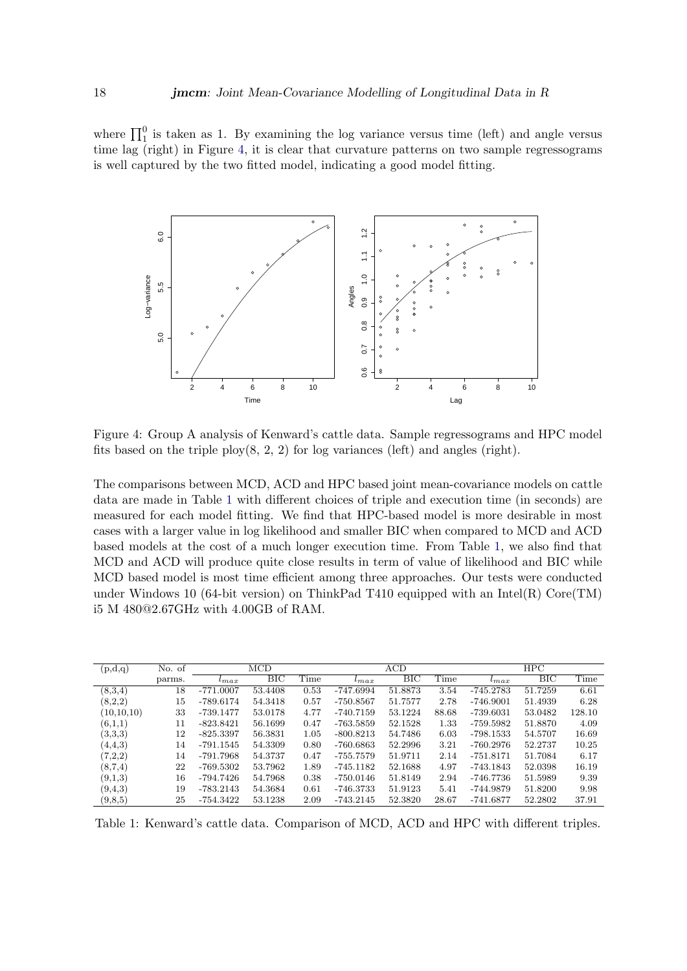where  $\prod_{1}^{0}$  is taken as 1. By examining the log variance versus time (left) and angle versus time lag (right) in Figure [4,](#page-17-0) it is clear that curvature patterns on two sample regressograms is well captured by the two fitted model, indicating a good model fitting.



<span id="page-17-0"></span>Figure 4: Group A analysis of Kenward's cattle data. Sample regressograms and HPC model fits based on the triple  $p\text{lov}(8, 2, 2)$  for log variances (left) and angles (right).

The comparisons between MCD, ACD and HPC based joint mean-covariance models on cattle data are made in Table [1](#page-17-1) with different choices of triple and execution time (in seconds) are measured for each model fitting. We find that HPC-based model is more desirable in most cases with a larger value in log likelihood and smaller BIC when compared to MCD and ACD based models at the cost of a much longer execution time. From Table [1,](#page-17-1) we also find that MCD and ACD will produce quite close results in term of value of likelihood and BIC while MCD based model is most time efficient among three approaches. Our tests were conducted under Windows 10 (64-bit version) on ThinkPad T410 equipped with an Intel $(R)$  Core $(TM)$ i5 M 480@2.67GHz with 4.00GB of RAM.

| (p,d,q)    | No. of | $\rm MCD$     |         |      | ACD         |         |       | HPC         |                           |        |
|------------|--------|---------------|---------|------|-------------|---------|-------|-------------|---------------------------|--------|
|            | parms. | $\iota_{max}$ | BІC     | Time | $_{tmax}$   | BIC     | Time  | $l_{max}$   | $\overline{\mathrm{BIC}}$ | Time   |
| (8,3,4)    | 18     | $-771.0007$   | 53.4408 | 0.53 | -747.6994   | 51.8873 | 3.54  | $-745.2783$ | 51.7259                   | 6.61   |
| (8,2,2)    | 15     | $-789.6174$   | 54.3418 | 0.57 | $-750.8567$ | 51.7577 | 2.78  | $-746.9001$ | 51.4939                   | 6.28   |
| (10,10,10) | 33     | -739.1477     | 53.0178 | 4.77 | $-740.7159$ | 53.1224 | 88.68 | $-739.6031$ | 53.0482                   | 128.10 |
| (6,1,1)    | 11     | $-823.8421$   | 56.1699 | 0.47 | $-763.5859$ | 52.1528 | 1.33  | $-759.5982$ | 51.8870                   | 4.09   |
| (3,3,3)    | 12     | $-825.3397$   | 56.3831 | 1.05 | $-800.8213$ | 54.7486 | 6.03  | -798.1533   | 54.5707                   | 16.69  |
| (4,4,3)    | 14     | $-791.1545$   | 54.3309 | 0.80 | $-760.6863$ | 52.2996 | 3.21  | $-760.2976$ | 52.2737                   | 10.25  |
| (7,2,2)    | 14     | -791.7968     | 54.3737 | 0.47 | $-755.7579$ | 51.9711 | 2.14  | $-751.8171$ | 51.7084                   | 6.17   |
| (8,7,4)    | 22     | $-769.5302$   | 53.7962 | 1.89 | $-745.1182$ | 52.1688 | 4.97  | $-743.1843$ | 52.0398                   | 16.19  |
| (9,1,3)    | 16     | -794.7426     | 54.7968 | 0.38 | $-750.0146$ | 51.8149 | 2.94  | -746.7736   | 51.5989                   | 9.39   |
| (9, 4, 3)  | 19     | -783.2143     | 54.3684 | 0.61 | $-746.3733$ | 51.9123 | 5.41  | -744.9879   | 51.8200                   | 9.98   |
| (9, 8, 5)  | 25     | $-754.3422$   | 53.1238 | 2.09 | $-743.2145$ | 52.3820 | 28.67 | $-741.6877$ | 52.2802                   | 37.91  |

<span id="page-17-1"></span>Table 1: Kenward's cattle data. Comparison of MCD, ACD and HPC with different triples.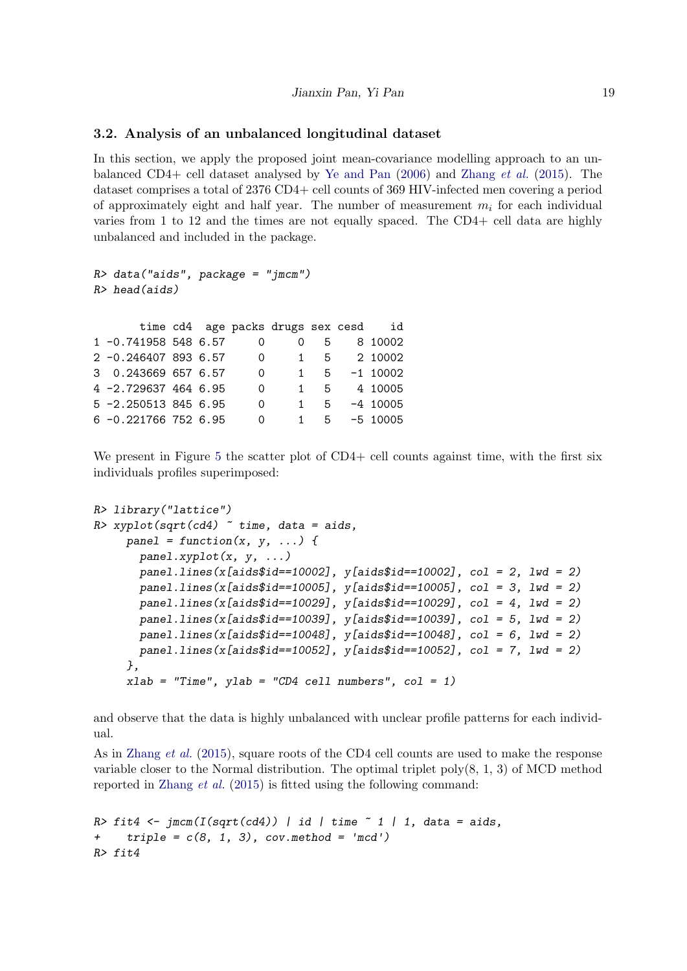### 3.2. Analysis of an unbalanced longitudinal dataset

In this section, we apply the proposed joint mean-covariance modelling approach to an unbalanced CD4+ cell dataset analysed by [Ye and Pan](#page-26-5) [\(2006\)](#page-26-5) and [Zhang](#page-26-0) et al. [\(2015\)](#page-26-0). The dataset comprises a total of 2376 CD4+ cell counts of 369 HIV-infected men covering a period of approximately eight and half year. The number of measurement  $m_i$  for each individual varies from 1 to 12 and the times are not equally spaced. The CD4+ cell data are highly unbalanced and included in the package.

```
R> data("aids", package = "jmcm")
R> head(aids)
     time cd4 age packs drugs sex cesd id
1 -0.741958 548 6.57 0 0 5 8 10002
2 -0.246407 893 6.57 0 1 5 2 10002
3 0.243669 657 6.57 0 1 5 -1 10002
4 -2.729637 464 6.95 0 1 5 4 10005
5 -2.250513 845 6.95 0 1 5 -4 10005
6 -0.221766 752 6.95 0 1 5 -5 10005
```
We present in Figure [5](#page-19-0) the scatter plot of CD4+ cell counts against time, with the first six individuals profiles superimposed:

```
R> library("lattice")
R> xyplot(sqrt(cd4) \tilde{ } time, data = aids,
     panel = function(x, y, ...)panel.xyplot(x, y, ...)panel.1ines(x[aids$id==10002], y[aids$id==10002], col = 2, lwd = 2)panel. lines(x[aids$id==10005], y[aids$id==10005], col = 3, lwd = 2)panel. lines(x[aids$id==10029], y[aids$id==10029], col = 4, lwd = 2)panel.1ines(x[aids$id==10039], y[aids$id==10039], col = 5, lwd = 2)panel.1ines(x[aids$id==10048], y[aids$id==10048], col = 6, lwd = 2)pane1.lines(x[aids$id==10052], y[aids$id==10052], col = 7, lwd = 2)},
     xlab = "Time", ylab = "CD4 cell numbers", col = 1)
```
and observe that the data is highly unbalanced with unclear profile patterns for each individual.

As in [Zhang](#page-26-0) *et al.* [\(2015\)](#page-26-0), square roots of the CD4 cell counts are used to make the response variable closer to the Normal distribution. The optimal triplet  $poly(8, 1, 3)$  of MCD method reported in [Zhang](#page-26-0) et al. [\(2015\)](#page-26-0) is fitted using the following command:

```
R> fit4 <- jmcm(I(sqrt(cd)) | id | time \tilde{I} | 1, data = aids,
     triple = c(8, 1, 3), cov.method = 'mcd')R> fit4
```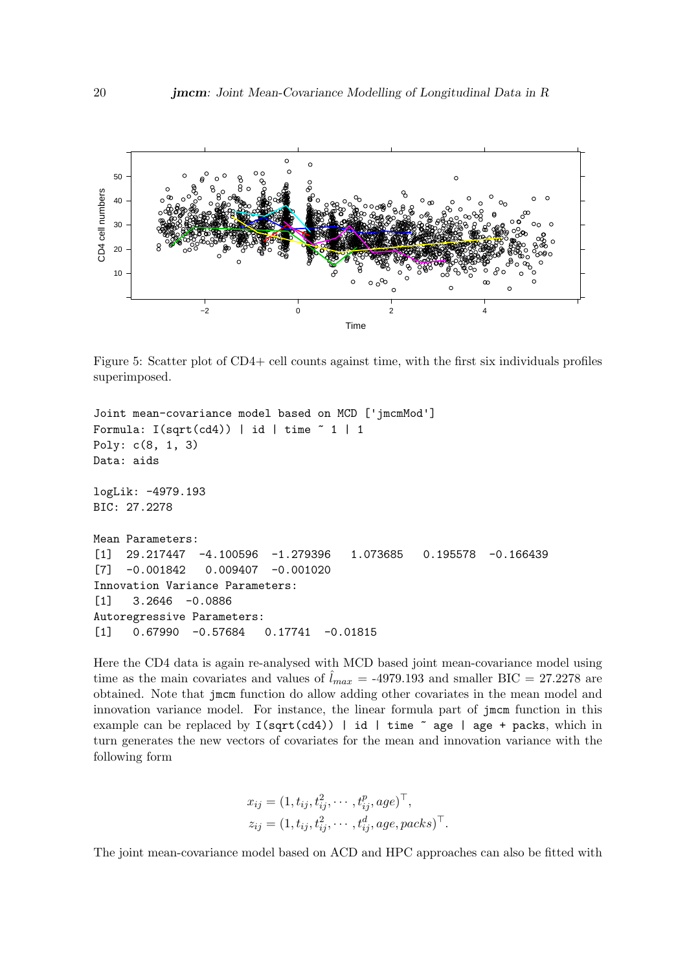

<span id="page-19-0"></span>Figure 5: Scatter plot of CD4+ cell counts against time, with the first six individuals profiles superimposed.

```
Joint mean-covariance model based on MCD ['jmcmMod']
Formula: I(sqrt(cd)) | id | time " 1 | 1Poly: c(8, 1, 3)
Data: aids
logLik: -4979.193
BIC: 27.2278
Mean Parameters:
[1] 29.217447 -4.100596 -1.279396 1.073685 0.195578 -0.166439
[7] -0.001842 0.009407 -0.001020
Innovation Variance Parameters:
[1] 3.2646 -0.0886
Autoregressive Parameters:
[1] 0.67990 -0.57684 0.17741 -0.01815
```
Here the CD4 data is again re-analysed with MCD based joint mean-covariance model using time as the main covariates and values of  $\hat{l}_{max} = -4979.193$  and smaller BIC = 27.2278 are obtained. Note that jmcm function do allow adding other covariates in the mean model and innovation variance model. For instance, the linear formula part of jmcm function in this example can be replaced by  $I(sqrt(cd))$  | id | time  $\tilde{ }$  age | age + packs, which in turn generates the new vectors of covariates for the mean and innovation variance with the following form

$$
x_{ij} = (1, t_{ij}, t_{ij}^2, \cdots, t_{ij}^p, age)^{\top},
$$
  
\n
$$
z_{ij} = (1, t_{ij}, t_{ij}^2, \cdots, t_{ij}^d, age, packs)^{\top}.
$$

The joint mean-covariance model based on ACD and HPC approaches can also be fitted with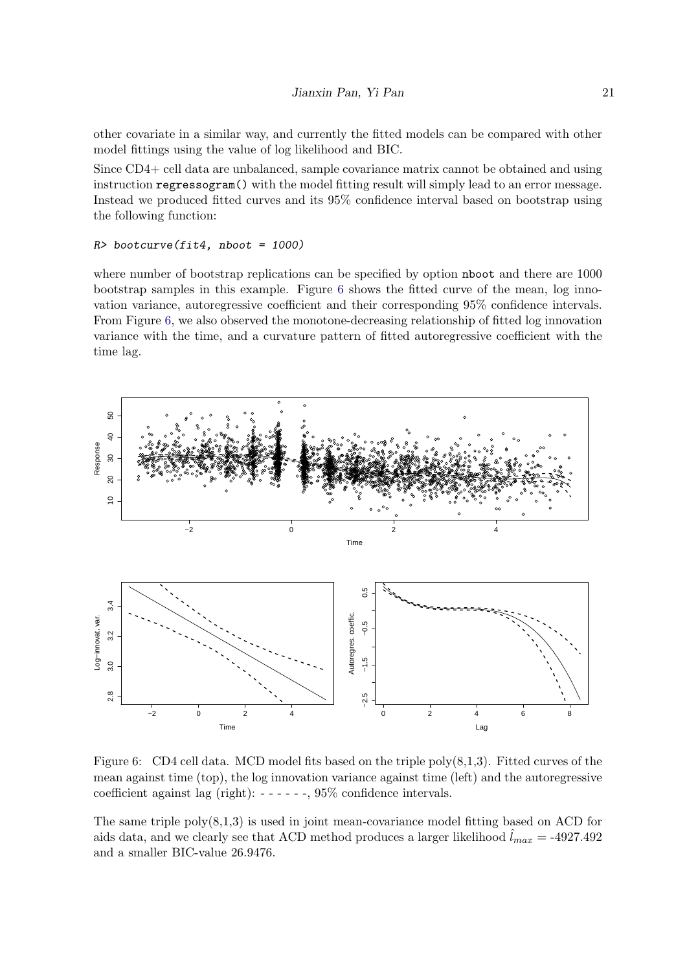other covariate in a similar way, and currently the fitted models can be compared with other model fittings using the value of log likelihood and BIC.

Since CD4+ cell data are unbalanced, sample covariance matrix cannot be obtained and using instruction regressogram() with the model fitting result will simply lead to an error message. Instead we produced fitted curves and its 95% confidence interval based on bootstrap using the following function:

#### R> bootcurve(fit4, nboot = 1000)

where number of bootstrap replications can be specified by option nboot and there are 1000 bootstrap samples in this example. Figure [6](#page-20-0) shows the fitted curve of the mean, log innovation variance, autoregressive coefficient and their corresponding 95% confidence intervals. From Figure [6,](#page-20-0) we also observed the monotone-decreasing relationship of fitted log innovation variance with the time, and a curvature pattern of fitted autoregressive coefficient with the time lag.



<span id="page-20-0"></span>Figure 6: CD4 cell data. MCD model fits based on the triple  $poly(8,1,3)$ . Fitted curves of the mean against time (top), the log innovation variance against time (left) and the autoregressive coefficient against lag (right): - - - - - -, 95% confidence intervals.

The same triple  $poly(8,1,3)$  is used in joint mean-covariance model fitting based on ACD for aids data, and we clearly see that ACD method produces a larger likelihood  $\hat{l}_{max} = -4927.492$ and a smaller BIC-value 26.9476.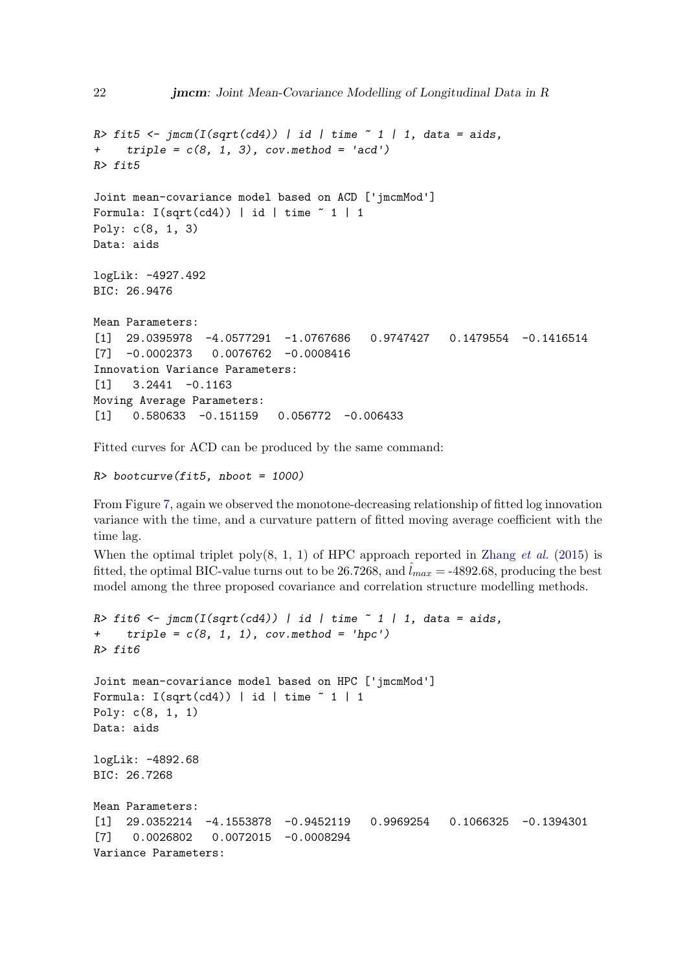```
R> fit5 <- \text{imcm}(I(\text{sqrt}(cd4)) | id | \text{time} ~ 1 | 1, data = aids,
+ triple = c(8, 1, 3), cov.method = 'acd')R> fit5
Joint mean-covariance model based on ACD ['jmcmMod']
Formula: I(sqrt(cd)) | id | time " 1 | 1Poly: c(8, 1, 3)
Data: aids
logLik: -4927.492
BIC: 26.9476
Mean Parameters:
[1] 29.0395978 -4.0577291 -1.0767686 0.9747427 0.1479554 -0.1416514
[7] -0.0002373 0.0076762 -0.0008416
Innovation Variance Parameters:
[1] 3.2441 -0.1163
Moving Average Parameters:
[1] 0.580633 -0.151159 0.056772 -0.006433
```
Fitted curves for ACD can be produced by the same command:

 $R$ > bootcurve(fit5, nboot = 1000)

From Figure [7,](#page-22-0) again we observed the monotone-decreasing relationship of fitted log innovation variance with the time, and a curvature pattern of fitted moving average coefficient with the time lag.

When the optimal triplet poly(8, 1, 1) of HPC approach reported in [Zhang](#page-26-0) *et al.* [\(2015\)](#page-26-0) is fitted, the optimal BIC-value turns out to be 26.7268, and  $l_{max} = -4892.68$ , producing the best model among the three proposed covariance and correlation structure modelling methods.

```
R> fit6 <- jmcm(I(sqrt(cd4)) | id | time \tilde{ } 1 | 1, data = aids,
+ triple = c(8, 1, 1), cov.method = 'hpc')R> fit6
Joint mean-covariance model based on HPC ['jmcmMod']
Formula: I(sqrt(cd)) | id | time " 1 | 1Poly: c(8, 1, 1)
Data: aids
logLik: -4892.68
BIC: 26.7268
Mean Parameters:
[1] 29.0352214 -4.1553878 -0.9452119 0.9969254 0.1066325 -0.1394301
[7] 0.0026802 0.0072015 -0.0008294
Variance Parameters:
```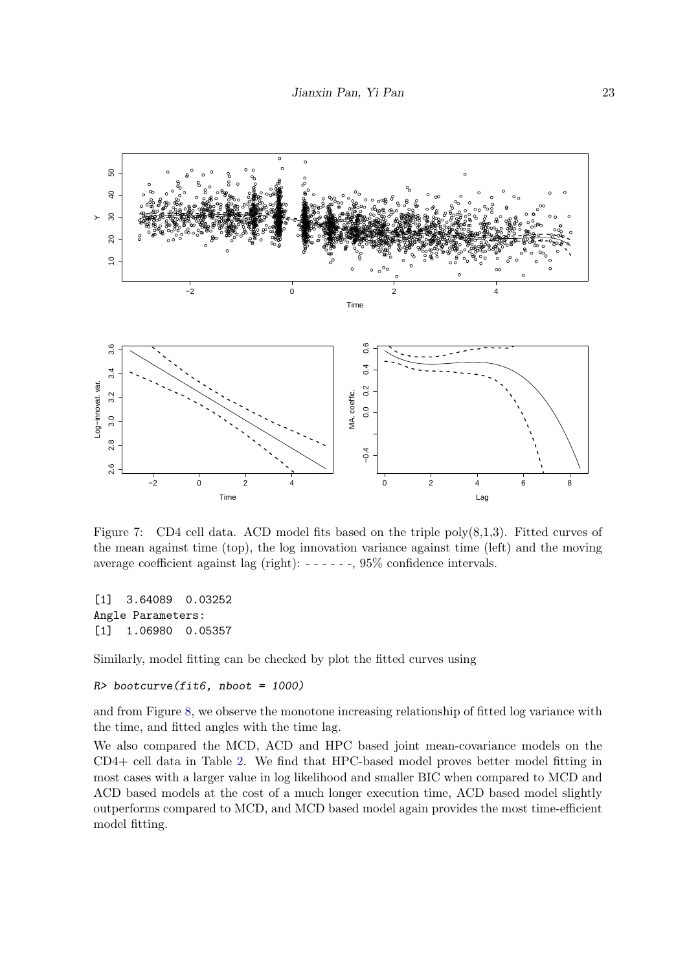

<span id="page-22-0"></span>Figure 7: CD4 cell data. ACD model fits based on the triple poly(8,1,3). Fitted curves of the mean against time (top), the log innovation variance against time (left) and the moving average coefficient against lag (right): - - - - - -, 95% confidence intervals.

[1] 3.64089 0.03252 Angle Parameters: [1] 1.06980 0.05357

Similarly, model fitting can be checked by plot the fitted curves using

```
R> bootcurve(fit6, nboot = 1000)
```
and from Figure [8,](#page-23-0) we observe the monotone increasing relationship of fitted log variance with the time, and fitted angles with the time lag.

We also compared the MCD, ACD and HPC based joint mean-covariance models on the CD4+ cell data in Table [2.](#page-24-10) We find that HPC-based model proves better model fitting in most cases with a larger value in log likelihood and smaller BIC when compared to MCD and ACD based models at the cost of a much longer execution time, ACD based model slightly outperforms compared to MCD, and MCD based model again provides the most time-efficient model fitting.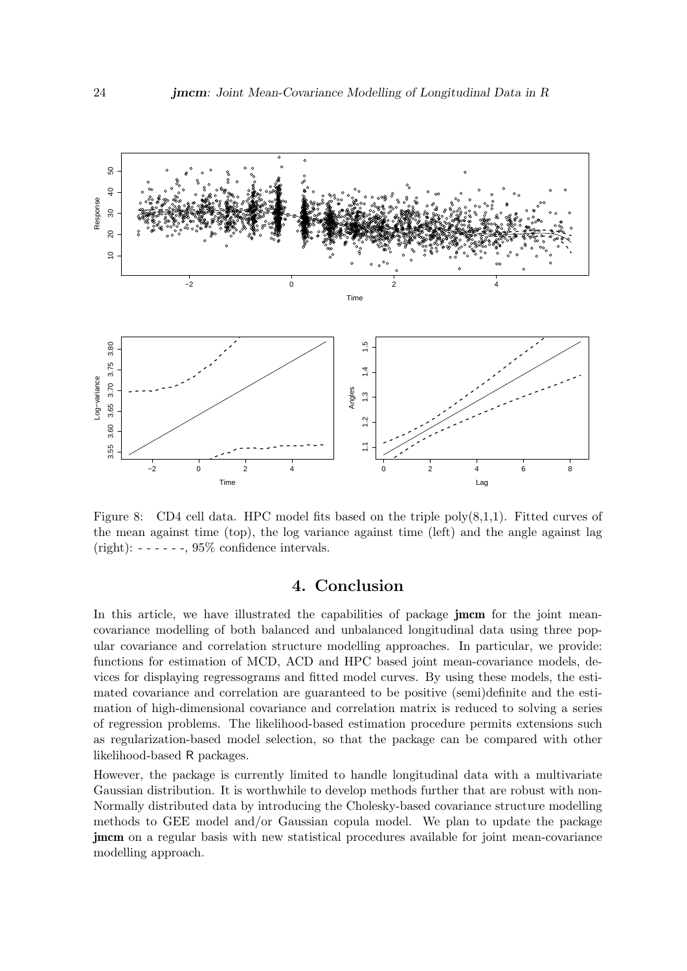

<span id="page-23-0"></span>Figure 8: CD4 cell data. HPC model fits based on the triple  $poly(8,1,1)$ . Fitted curves of the mean against time (top), the log variance against time (left) and the angle against lag (right):  $----$ ,  $95\%$  confidence intervals.

# 4. Conclusion

In this article, we have illustrated the capabilities of package **jmcm** for the joint meancovariance modelling of both balanced and unbalanced longitudinal data using three popular covariance and correlation structure modelling approaches. In particular, we provide: functions for estimation of MCD, ACD and HPC based joint mean-covariance models, devices for displaying regressograms and fitted model curves. By using these models, the estimated covariance and correlation are guaranteed to be positive (semi)definite and the estimation of high-dimensional covariance and correlation matrix is reduced to solving a series of regression problems. The likelihood-based estimation procedure permits extensions such as regularization-based model selection, so that the package can be compared with other likelihood-based R packages.

However, the package is currently limited to handle longitudinal data with a multivariate Gaussian distribution. It is worthwhile to develop methods further that are robust with non-Normally distributed data by introducing the Cholesky-based covariance structure modelling methods to GEE model and/or Gaussian copula model. We plan to update the package jmcm on a regular basis with new statistical procedures available for joint mean-covariance modelling approach.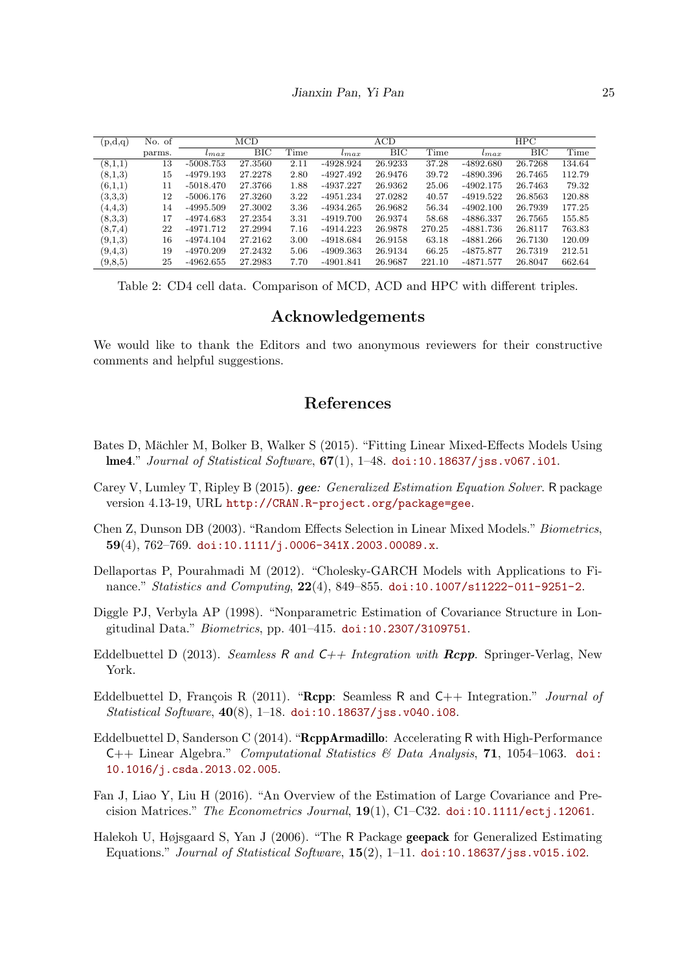| (p,d,q)   | No. of | $\rm MCD$   |         |      | ACD         |         |        | HPC         |         |        |
|-----------|--------|-------------|---------|------|-------------|---------|--------|-------------|---------|--------|
|           | parms. | $_{tmax}$   | BIC     | Time | $_{tmax}$   | BIC     | Time   | $_{tmax}$   | BIC     | Time   |
| (8,1,1)   | 13     | $-5008.753$ | 27.3560 | 2.11 | $-4928.924$ | 26.9233 | 37.28  | $-4892.680$ | 26.7268 | 134.64 |
| (8,1,3)   | 15     | $-4979.193$ | 27.2278 | 2.80 | $-4927.492$ | 26.9476 | 39.72  | -4890.396   | 26.7465 | 112.79 |
| (6,1,1)   | 11     | $-5018.470$ | 27.3766 | 1.88 | -4937.227   | 26.9362 | 25.06  | $-4902.175$ | 26.7463 | 79.32  |
| (3,3,3)   | 12     | $-5006.176$ | 27.3260 | 3.22 | $-4951.234$ | 27.0282 | 40.57  | $-4919.522$ | 26.8563 | 120.88 |
| (4,4,3)   | 14     | $-4995.509$ | 27.3002 | 3.36 | $-4934.265$ | 26.9682 | 56.34  | $-4902.100$ | 26.7939 | 177.25 |
| (8,3,3)   | 17     | $-4974.683$ | 27.2354 | 3.31 | -4919.700   | 26.9374 | 58.68  | -4886.337   | 26.7565 | 155.85 |
| (8,7,4)   | 22     | $-4971.712$ | 27.2994 | 7.16 | -4914.223   | 26.9878 | 270.25 | -4881.736   | 26.8117 | 763.83 |
| (9,1,3)   | 16     | $-4974.104$ | 27.2162 | 3.00 | $-4918.684$ | 26.9158 | 63.18  | $-4881.266$ | 26.7130 | 120.09 |
| (9,4,3)   | 19     | $-4970.209$ | 27.2432 | 5.06 | $-4909.363$ | 26.9134 | 66.25  | $-4875.877$ | 26.7319 | 212.51 |
| (9, 8, 5) | 25     | $-4962.655$ | 27.2983 | 7.70 | $-4901.841$ | 26.9687 | 221.10 | $-4871.577$ | 26.8047 | 662.64 |

<span id="page-24-10"></span>Table 2: CD4 cell data. Comparison of MCD, ACD and HPC with different triples.

# Acknowledgements

We would like to thank the Editors and two anonymous reviewers for their constructive comments and helpful suggestions.

# References

- <span id="page-24-3"></span>Bates D, Mächler M, Bolker B, Walker S (2015). "Fitting Linear Mixed-Effects Models Using lme4." Journal of Statistical Software,  $67(1)$ ,  $1-48$ . [doi:10.18637/jss.v067.i01](http://dx.doi.org/10.18637/jss.v067.i01).
- <span id="page-24-4"></span>Carey V, Lumley T, Ripley B (2015). gee: Generalized Estimation Equation Solver. R package version 4.13-19, URL <http://CRAN.R-project.org/package=gee>.
- <span id="page-24-1"></span>Chen Z, Dunson DB (2003). "Random Effects Selection in Linear Mixed Models." Biometrics, 59(4), 762–769. doi:10.1111/j.0006–341X.2003.00089.x.
- <span id="page-24-9"></span>Dellaportas P, Pourahmadi M (2012). "Cholesky-GARCH Models with Applications to Finance." Statistics and Computing, 22(4), 849–855. [doi:10.1007/s11222-011-9251-2](http://dx.doi.org/10.1007/s11222-011-9251-2).
- <span id="page-24-0"></span>Diggle PJ, Verbyla AP (1998). "Nonparametric Estimation of Covariance Structure in Longitudinal Data." Biometrics, pp. 401–415. [doi:10.2307/3109751](http://dx.doi.org/10.2307/3109751).
- <span id="page-24-7"></span>Eddelbuettel D (2013). Seamless R and  $C++$  Integration with  $Rcpp$ . Springer-Verlag, New York.
- <span id="page-24-6"></span>Eddelbuettel D, François R (2011). "Repp: Seamless R and  $C_{++}$  Integration." *Journal of* Statistical Software, 40(8), 1–18. [doi:10.18637/jss.v040.i08](http://dx.doi.org/10.18637/jss.v040.i08).
- <span id="page-24-8"></span>Eddelbuettel D, Sanderson C (2014). "RcppArmadillo: Accelerating R with High-Performance C++ Linear Algebra." Computational Statistics & Data Analysis, 71, 1054–1063. [doi:](http://dx.doi.org/10.1016/j.csda.2013.02.005) [10.1016/j.csda.2013.02.005](http://dx.doi.org/10.1016/j.csda.2013.02.005).
- <span id="page-24-2"></span>Fan J, Liao Y, Liu H (2016). "An Overview of the Estimation of Large Covariance and Precision Matrices." The Econometrics Journal,  $19(1)$ , C1–C32. [doi:10.1111/ectj.12061](http://dx.doi.org/10.1111/ectj.12061).
- <span id="page-24-5"></span>Halekoh U, Højsgaard S, Yan J (2006). "The R Package geepack for Generalized Estimating Equations." Journal of Statistical Software,  $15(2)$ , 1–11. [doi:10.18637/jss.v015.i02](http://dx.doi.org/10.18637/jss.v015.i02).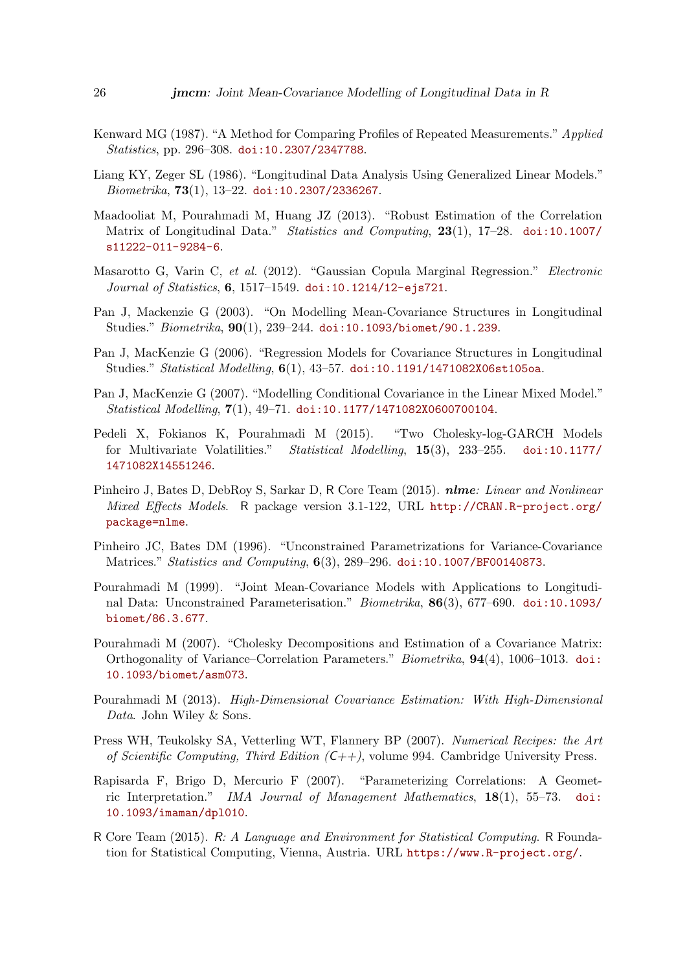- <span id="page-25-13"></span>Kenward MG (1987). "A Method for Comparing Profiles of Repeated Measurements." Applied Statistics, pp. 296–308. [doi:10.2307/2347788](http://dx.doi.org/10.2307/2347788).
- <span id="page-25-5"></span>Liang KY, Zeger SL (1986). "Longitudinal Data Analysis Using Generalized Linear Models."  $Biometrika, 73(1), 13-22.$  [doi:10.2307/2336267](http://dx.doi.org/10.2307/2336267).
- <span id="page-25-10"></span>Maadooliat M, Pourahmadi M, Huang JZ (2013). "Robust Estimation of the Correlation Matrix of Longitudinal Data." Statistics and Computing, 23(1), 17–28. [doi:10.1007/](http://dx.doi.org/10.1007/s11222-011-9284-6) [s11222-011-9284-6](http://dx.doi.org/10.1007/s11222-011-9284-6).
- <span id="page-25-6"></span>Masarotto G, Varin C, et al. (2012). "Gaussian Copula Marginal Regression." Electronic Journal of Statistics, 6, 1517–1549. [doi:10.1214/12-ejs721](http://dx.doi.org/10.1214/12-ejs721).
- <span id="page-25-1"></span>Pan J, Mackenzie G (2003). "On Modelling Mean-Covariance Structures in Longitudinal Studies." Biometrika, 90(1), 239–244. [doi:10.1093/biomet/90.1.239](http://dx.doi.org/10.1093/biomet/90.1.239).
- <span id="page-25-14"></span>Pan J, MacKenzie G (2006). "Regression Models for Covariance Structures in Longitudinal Studies." Statistical Modelling, 6(1), 43-57. [doi:10.1191/1471082X06st105oa](http://dx.doi.org/10.1191/1471082X06st105oa).
- <span id="page-25-15"></span>Pan J, MacKenzie G (2007). "Modelling Conditional Covariance in the Linear Mixed Model." Statistical Modelling, 7(1), 49–71. [doi:10.1177/1471082X0600700104](http://dx.doi.org/10.1177/1471082X0600700104).
- <span id="page-25-12"></span>Pedeli X, Fokianos K, Pourahmadi M (2015). "Two Cholesky-log-GARCH Models for Multivariate Volatilities." Statistical Modelling, 15(3), 233–255. [doi:10.1177/](http://dx.doi.org/10.1177/1471082X14551246) [1471082X14551246](http://dx.doi.org/10.1177/1471082X14551246).
- <span id="page-25-4"></span>Pinheiro J, Bates D, DebRoy S, Sarkar D, R Core Team (2015). nlme: Linear and Nonlinear Mixed Effects Models. R package version 3.1-122, URL [http://CRAN.R-project.org/](http://CRAN.R-project.org/package=nlme) [package=nlme](http://CRAN.R-project.org/package=nlme).
- <span id="page-25-9"></span>Pinheiro JC, Bates DM (1996). "Unconstrained Parametrizations for Variance-Covariance Matrices." *Statistics and Computing*, 6(3), 289–296. [doi:10.1007/BF00140873](http://dx.doi.org/10.1007/BF00140873).
- <span id="page-25-0"></span>Pourahmadi M (1999). "Joint Mean-Covariance Models with Applications to Longitudinal Data: Unconstrained Parameterisation." Biometrika, 86(3), 677–690. [doi:10.1093/](http://dx.doi.org/10.1093/biomet/86.3.677) [biomet/86.3.677](http://dx.doi.org/10.1093/biomet/86.3.677).
- <span id="page-25-2"></span>Pourahmadi M (2007). "Cholesky Decompositions and Estimation of a Covariance Matrix: Orthogonality of Variance–Correlation Parameters." Biometrika, 94(4), 1006–1013. [doi:](http://dx.doi.org/10.1093/biomet/asm073) [10.1093/biomet/asm073](http://dx.doi.org/10.1093/biomet/asm073).
- <span id="page-25-8"></span>Pourahmadi M (2013). High-Dimensional Covariance Estimation: With High-Dimensional Data. John Wiley & Sons.
- <span id="page-25-7"></span>Press WH, Teukolsky SA, Vetterling WT, Flannery BP (2007). Numerical Recipes: the Art of Scientific Computing, Third Edition  $(C++)$ , volume 994. Cambridge University Press.
- <span id="page-25-11"></span>Rapisarda F, Brigo D, Mercurio F (2007). "Parameterizing Correlations: A Geometric Interpretation." IMA Journal of Management Mathematics, 18(1), 55–73. [doi:](http://dx.doi.org/10.1093/imaman/dpl010) [10.1093/imaman/dpl010](http://dx.doi.org/10.1093/imaman/dpl010).
- <span id="page-25-3"></span>R Core Team (2015). R: A Language and Environment for Statistical Computing. R Foundation for Statistical Computing, Vienna, Austria. URL <https://www.R-project.org/>.